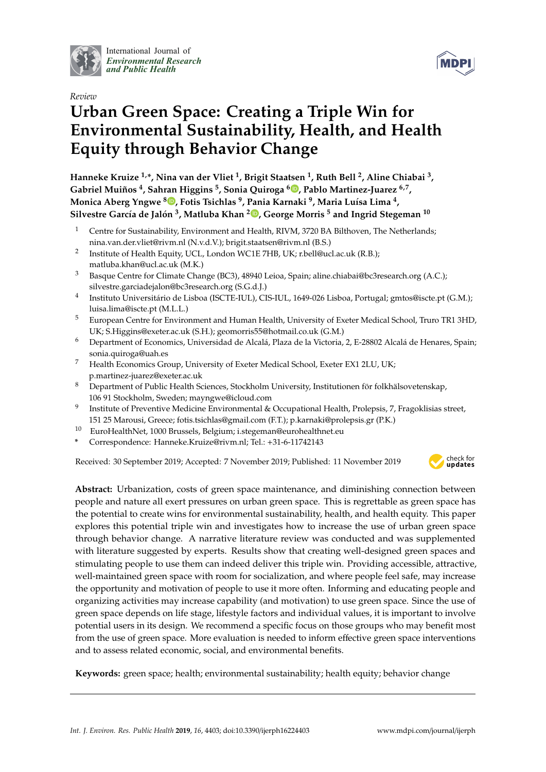

International Journal of *[Environmental Research](http://www.mdpi.com/journal/ijerph) and Public Health*



# **Urban Green Space: Creating a Triple Win for Environmental Sustainability, Health, and Health Equity through Behavior Change**

**Hanneke Kruize 1,\*, Nina van der Vliet <sup>1</sup> , Brigit Staatsen <sup>1</sup> , Ruth Bell <sup>2</sup> , Aline Chiabai <sup>3</sup> , Gabriel Muiños <sup>4</sup> , Sahran Higgins <sup>5</sup> , Sonia Quiroga <sup>6</sup> [,](https://orcid.org/0000-0002-4269-5053) Pablo Martinez-Juarez 6,7 , Monica Aberg Yngwe [8](https://orcid.org/0000-0001-8642-2252) , Fotis Tsichlas <sup>9</sup> , Pania Karnaki <sup>9</sup> , Maria Luísa Lima <sup>4</sup> , Silvestre García de Jalón 3 , Matluba Khan <sup>2</sup> [,](https://orcid.org/0000-0002-5546-1870) George Morris <sup>5</sup> and Ingrid Stegeman <sup>10</sup>**

- <sup>1</sup> Centre for Sustainability, Environment and Health, RIVM, 3720 BA Bilthoven, The Netherlands; nina.van.der.vliet@rivm.nl (N.v.d.V.); brigit.staatsen@rivm.nl (B.S.)
- 2 Institute of Health Equity, UCL, London WC1E 7HB, UK; r.bell@ucl.ac.uk (R.B.); matluba.khan@ucl.ac.uk (M.K.)
- <sup>3</sup> Basque Centre for Climate Change (BC3), 48940 Leioa, Spain; aline.chiabai@bc3research.org (A.C.); silvestre.garciadejalon@bc3research.org (S.G.d.J.)
- 4 Instituto Universitário de Lisboa (ISCTE-IUL), CIS-IUL, 1649-026 Lisboa, Portugal; gmtos@iscte.pt (G.M.); luisa.lima@iscte.pt (M.L.L.)
- <sup>5</sup> European Centre for Environment and Human Health, University of Exeter Medical School, Truro TR1 3HD, UK; S.Higgins@exeter.ac.uk (S.H.); geomorris55@hotmail.co.uk (G.M.)
- <sup>6</sup> Department of Economics, Universidad de Alcalá, Plaza de la Victoria, 2, E-28802 Alcalá de Henares, Spain; sonia.quiroga@uah.es
- <sup>7</sup> Health Economics Group, University of Exeter Medical School, Exeter EX1 2LU, UK; p.martinez-juarez@exeter.ac.uk
- <sup>8</sup> Department of Public Health Sciences, Stockholm University, Institutionen för folkhälsovetenskap, 106 91 Stockholm, Sweden; mayngwe@icloud.com
- 9 Institute of Preventive Medicine Environmental & Occupational Health, Prolepsis, 7, Fragoklisias street, 151 25 Marousi, Greece; fotis.tsichlas@gmail.com (F.T.); p.karnaki@prolepsis.gr (P.K.)
- <sup>10</sup> EuroHealthNet, 1000 Brussels, Belgium; i.stegeman@eurohealthnet.eu
- **\*** Correspondence: Hanneke.Kruize@rivm.nl; Tel.: +31-6-11742143

Received: 30 September 2019; Accepted: 7 November 2019; Published: 11 November 2019



**MDP** 

**Abstract:** Urbanization, costs of green space maintenance, and diminishing connection between people and nature all exert pressures on urban green space. This is regrettable as green space has the potential to create wins for environmental sustainability, health, and health equity. This paper explores this potential triple win and investigates how to increase the use of urban green space through behavior change. A narrative literature review was conducted and was supplemented with literature suggested by experts. Results show that creating well-designed green spaces and stimulating people to use them can indeed deliver this triple win. Providing accessible, attractive, well-maintained green space with room for socialization, and where people feel safe, may increase the opportunity and motivation of people to use it more often. Informing and educating people and organizing activities may increase capability (and motivation) to use green space. Since the use of green space depends on life stage, lifestyle factors and individual values, it is important to involve potential users in its design. We recommend a specific focus on those groups who may benefit most from the use of green space. More evaluation is needed to inform effective green space interventions and to assess related economic, social, and environmental benefits.

**Keywords:** green space; health; environmental sustainability; health equity; behavior change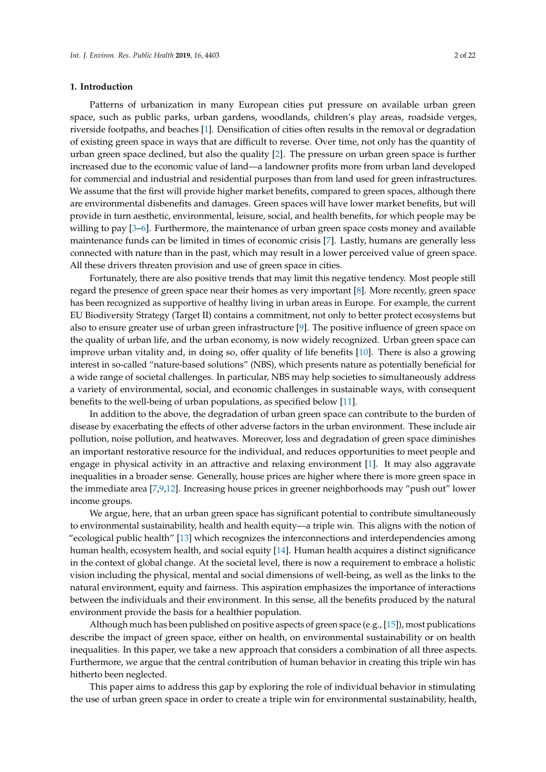## **1. Introduction**

Patterns of urbanization in many European cities put pressure on available urban green space, such as public parks, urban gardens, woodlands, children's play areas, roadside verges, riverside footpaths, and beaches [\[1\]](#page-17-0). Densification of cities often results in the removal or degradation of existing green space in ways that are difficult to reverse. Over time, not only has the quantity of urban green space declined, but also the quality [\[2\]](#page-17-1). The pressure on urban green space is further increased due to the economic value of land—a landowner profits more from urban land developed for commercial and industrial and residential purposes than from land used for green infrastructures. We assume that the first will provide higher market benefits, compared to green spaces, although there are environmental disbenefits and damages. Green spaces will have lower market benefits, but will provide in turn aesthetic, environmental, leisure, social, and health benefits, for which people may be willing to pay [\[3](#page-17-2)[–6\]](#page-17-3). Furthermore, the maintenance of urban green space costs money and available maintenance funds can be limited in times of economic crisis [\[7\]](#page-17-4). Lastly, humans are generally less connected with nature than in the past, which may result in a lower perceived value of green space. All these drivers threaten provision and use of green space in cities.

Fortunately, there are also positive trends that may limit this negative tendency. Most people still regard the presence of green space near their homes as very important [\[8\]](#page-17-5). More recently, green space has been recognized as supportive of healthy living in urban areas in Europe. For example, the current EU Biodiversity Strategy (Target II) contains a commitment, not only to better protect ecosystems but also to ensure greater use of urban green infrastructure [\[9\]](#page-17-6). The positive influence of green space on the quality of urban life, and the urban economy, is now widely recognized. Urban green space can improve urban vitality and, in doing so, offer quality of life benefits [\[10\]](#page-17-7). There is also a growing interest in so-called "nature-based solutions" (NBS), which presents nature as potentially beneficial for a wide range of societal challenges. In particular, NBS may help societies to simultaneously address a variety of environmental, social, and economic challenges in sustainable ways, with consequent benefits to the well-being of urban populations, as specified below [\[11\]](#page-17-8).

In addition to the above, the degradation of urban green space can contribute to the burden of disease by exacerbating the effects of other adverse factors in the urban environment. These include air pollution, noise pollution, and heatwaves. Moreover, loss and degradation of green space diminishes an important restorative resource for the individual, and reduces opportunities to meet people and engage in physical activity in an attractive and relaxing environment [\[1\]](#page-17-0). It may also aggravate inequalities in a broader sense. Generally, house prices are higher where there is more green space in the immediate area [\[7](#page-17-4)[,9](#page-17-6)[,12\]](#page-17-9). Increasing house prices in greener neighborhoods may "push out" lower income groups.

We argue, here, that an urban green space has significant potential to contribute simultaneously to environmental sustainability, health and health equity—a triple win. This aligns with the notion of "ecological public health" [\[13\]](#page-17-10) which recognizes the interconnections and interdependencies among human health, ecosystem health, and social equity [\[14\]](#page-17-11). Human health acquires a distinct significance in the context of global change. At the societal level, there is now a requirement to embrace a holistic vision including the physical, mental and social dimensions of well-being, as well as the links to the natural environment, equity and fairness. This aspiration emphasizes the importance of interactions between the individuals and their environment. In this sense, all the benefits produced by the natural environment provide the basis for a healthier population.

Although much has been published on positive aspects of green space (e.g., [\[15\]](#page-17-12)), most publications describe the impact of green space, either on health, on environmental sustainability or on health inequalities. In this paper, we take a new approach that considers a combination of all three aspects. Furthermore, we argue that the central contribution of human behavior in creating this triple win has hitherto been neglected.

This paper aims to address this gap by exploring the role of individual behavior in stimulating the use of urban green space in order to create a triple win for environmental sustainability, health,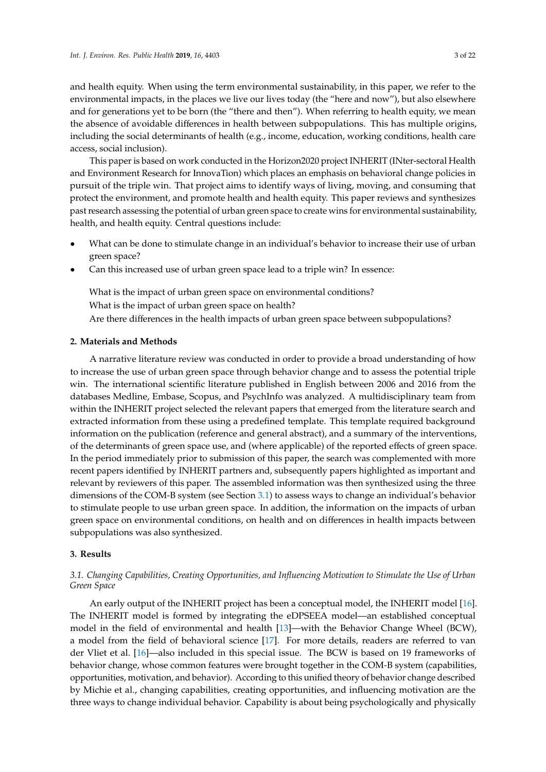and health equity. When using the term environmental sustainability, in this paper, we refer to the environmental impacts, in the places we live our lives today (the "here and now"), but also elsewhere and for generations yet to be born (the "there and then"). When referring to health equity, we mean the absence of avoidable differences in health between subpopulations. This has multiple origins, including the social determinants of health (e.g., income, education, working conditions, health care access, social inclusion).

This paper is based on work conducted in the Horizon2020 project INHERIT (INter-sectoral Health and Environment Research for InnovaTion) which places an emphasis on behavioral change policies in pursuit of the triple win. That project aims to identify ways of living, moving, and consuming that protect the environment, and promote health and health equity. This paper reviews and synthesizes past research assessing the potential of urban green space to create wins for environmental sustainability, health, and health equity. Central questions include:

- What can be done to stimulate change in an individual's behavior to increase their use of urban green space?
- Can this increased use of urban green space lead to a triple win? In essence:

What is the impact of urban green space on environmental conditions? What is the impact of urban green space on health? Are there differences in the health impacts of urban green space between subpopulations?

## **2. Materials and Methods**

A narrative literature review was conducted in order to provide a broad understanding of how to increase the use of urban green space through behavior change and to assess the potential triple win. The international scientific literature published in English between 2006 and 2016 from the databases Medline, Embase, Scopus, and PsychInfo was analyzed. A multidisciplinary team from within the INHERIT project selected the relevant papers that emerged from the literature search and extracted information from these using a predefined template. This template required background information on the publication (reference and general abstract), and a summary of the interventions, of the determinants of green space use, and (where applicable) of the reported effects of green space. In the period immediately prior to submission of this paper, the search was complemented with more recent papers identified by INHERIT partners and, subsequently papers highlighted as important and relevant by reviewers of this paper. The assembled information was then synthesized using the three dimensions of the COM-B system (see Section [3.1\)](#page-2-0) to assess ways to change an individual's behavior to stimulate people to use urban green space. In addition, the information on the impacts of urban green space on environmental conditions, on health and on differences in health impacts between subpopulations was also synthesized.

## **3. Results**

# <span id="page-2-0"></span>*3.1. Changing Capabilities, Creating Opportunities, and Influencing Motivation to Stimulate the Use of Urban Green Space*

An early output of the INHERIT project has been a conceptual model, the INHERIT model [\[16\]](#page-17-13). The INHERIT model is formed by integrating the eDPSEEA model—an established conceptual model in the field of environmental and health [\[13\]](#page-17-10)—with the Behavior Change Wheel (BCW), a model from the field of behavioral science [\[17\]](#page-17-14). For more details, readers are referred to van der Vliet et al. [\[16\]](#page-17-13)—also included in this special issue. The BCW is based on 19 frameworks of behavior change, whose common features were brought together in the COM-B system (capabilities, opportunities, motivation, and behavior). According to this unified theory of behavior change described by Michie et al., changing capabilities, creating opportunities, and influencing motivation are the three ways to change individual behavior. Capability is about being psychologically and physically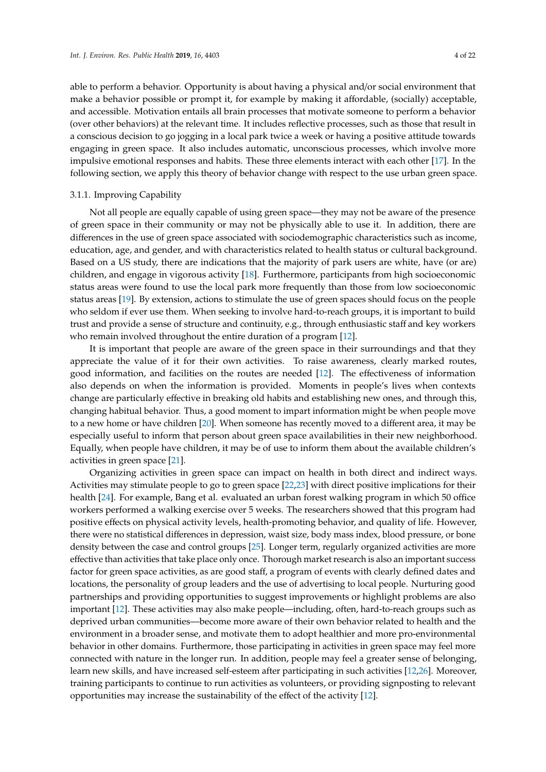able to perform a behavior. Opportunity is about having a physical and/or social environment that make a behavior possible or prompt it, for example by making it affordable, (socially) acceptable, and accessible. Motivation entails all brain processes that motivate someone to perform a behavior (over other behaviors) at the relevant time. It includes reflective processes, such as those that result in a conscious decision to go jogging in a local park twice a week or having a positive attitude towards engaging in green space. It also includes automatic, unconscious processes, which involve more impulsive emotional responses and habits. These three elements interact with each other [\[17\]](#page-17-14). In the following section, we apply this theory of behavior change with respect to the use urban green space.

## 3.1.1. Improving Capability

Not all people are equally capable of using green space—they may not be aware of the presence of green space in their community or may not be physically able to use it. In addition, there are differences in the use of green space associated with sociodemographic characteristics such as income, education, age, and gender, and with characteristics related to health status or cultural background. Based on a US study, there are indications that the majority of park users are white, have (or are) children, and engage in vigorous activity [\[18\]](#page-18-0). Furthermore, participants from high socioeconomic status areas were found to use the local park more frequently than those from low socioeconomic status areas [\[19\]](#page-18-1). By extension, actions to stimulate the use of green spaces should focus on the people who seldom if ever use them. When seeking to involve hard-to-reach groups, it is important to build trust and provide a sense of structure and continuity, e.g., through enthusiastic staff and key workers who remain involved throughout the entire duration of a program [\[12\]](#page-17-9).

It is important that people are aware of the green space in their surroundings and that they appreciate the value of it for their own activities. To raise awareness, clearly marked routes, good information, and facilities on the routes are needed [\[12\]](#page-17-9). The effectiveness of information also depends on when the information is provided. Moments in people's lives when contexts change are particularly effective in breaking old habits and establishing new ones, and through this, changing habitual behavior. Thus, a good moment to impart information might be when people move to a new home or have children [\[20\]](#page-18-2). When someone has recently moved to a different area, it may be especially useful to inform that person about green space availabilities in their new neighborhood. Equally, when people have children, it may be of use to inform them about the available children's activities in green space [\[21\]](#page-18-3).

Organizing activities in green space can impact on health in both direct and indirect ways. Activities may stimulate people to go to green space [\[22,](#page-18-4)[23\]](#page-18-5) with direct positive implications for their health [\[24\]](#page-18-6). For example, Bang et al. evaluated an urban forest walking program in which 50 office workers performed a walking exercise over 5 weeks. The researchers showed that this program had positive effects on physical activity levels, health-promoting behavior, and quality of life. However, there were no statistical differences in depression, waist size, body mass index, blood pressure, or bone density between the case and control groups [\[25\]](#page-18-7). Longer term, regularly organized activities are more effective than activities that take place only once. Thorough market research is also an important success factor for green space activities, as are good staff, a program of events with clearly defined dates and locations, the personality of group leaders and the use of advertising to local people. Nurturing good partnerships and providing opportunities to suggest improvements or highlight problems are also important [\[12\]](#page-17-9). These activities may also make people—including, often, hard-to-reach groups such as deprived urban communities—become more aware of their own behavior related to health and the environment in a broader sense, and motivate them to adopt healthier and more pro-environmental behavior in other domains. Furthermore, those participating in activities in green space may feel more connected with nature in the longer run. In addition, people may feel a greater sense of belonging, learn new skills, and have increased self-esteem after participating in such activities [\[12](#page-17-9)[,26\]](#page-18-8). Moreover, training participants to continue to run activities as volunteers, or providing signposting to relevant opportunities may increase the sustainability of the effect of the activity [\[12\]](#page-17-9).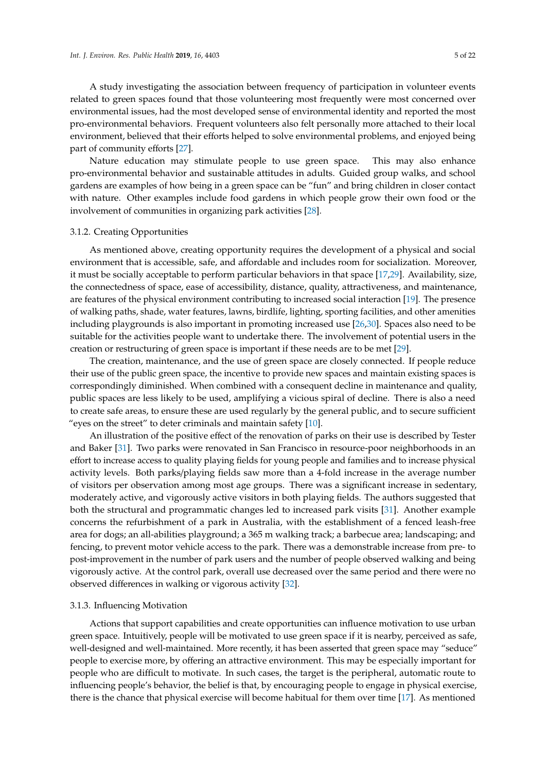A study investigating the association between frequency of participation in volunteer events related to green spaces found that those volunteering most frequently were most concerned over environmental issues, had the most developed sense of environmental identity and reported the most pro-environmental behaviors. Frequent volunteers also felt personally more attached to their local environment, believed that their efforts helped to solve environmental problems, and enjoyed being part of community efforts [\[27\]](#page-18-9).

Nature education may stimulate people to use green space. This may also enhance pro-environmental behavior and sustainable attitudes in adults. Guided group walks, and school gardens are examples of how being in a green space can be "fun" and bring children in closer contact with nature. Other examples include food gardens in which people grow their own food or the involvement of communities in organizing park activities [\[28\]](#page-18-10).

#### 3.1.2. Creating Opportunities

As mentioned above, creating opportunity requires the development of a physical and social environment that is accessible, safe, and affordable and includes room for socialization. Moreover, it must be socially acceptable to perform particular behaviors in that space [\[17](#page-17-14)[,29\]](#page-18-11). Availability, size, the connectedness of space, ease of accessibility, distance, quality, attractiveness, and maintenance, are features of the physical environment contributing to increased social interaction [\[19\]](#page-18-1). The presence of walking paths, shade, water features, lawns, birdlife, lighting, sporting facilities, and other amenities including playgrounds is also important in promoting increased use [\[26,](#page-18-8)[30\]](#page-18-12). Spaces also need to be suitable for the activities people want to undertake there. The involvement of potential users in the creation or restructuring of green space is important if these needs are to be met [\[29\]](#page-18-11).

The creation, maintenance, and the use of green space are closely connected. If people reduce their use of the public green space, the incentive to provide new spaces and maintain existing spaces is correspondingly diminished. When combined with a consequent decline in maintenance and quality, public spaces are less likely to be used, amplifying a vicious spiral of decline. There is also a need to create safe areas, to ensure these are used regularly by the general public, and to secure sufficient "eyes on the street" to deter criminals and maintain safety  $[10]$ .

An illustration of the positive effect of the renovation of parks on their use is described by Tester and Baker [\[31\]](#page-18-13). Two parks were renovated in San Francisco in resource-poor neighborhoods in an effort to increase access to quality playing fields for young people and families and to increase physical activity levels. Both parks/playing fields saw more than a 4-fold increase in the average number of visitors per observation among most age groups. There was a significant increase in sedentary, moderately active, and vigorously active visitors in both playing fields. The authors suggested that both the structural and programmatic changes led to increased park visits [\[31\]](#page-18-13). Another example concerns the refurbishment of a park in Australia, with the establishment of a fenced leash-free area for dogs; an all-abilities playground; a 365 m walking track; a barbecue area; landscaping; and fencing, to prevent motor vehicle access to the park. There was a demonstrable increase from pre- to post-improvement in the number of park users and the number of people observed walking and being vigorously active. At the control park, overall use decreased over the same period and there were no observed differences in walking or vigorous activity [\[32\]](#page-18-14).

## 3.1.3. Influencing Motivation

Actions that support capabilities and create opportunities can influence motivation to use urban green space. Intuitively, people will be motivated to use green space if it is nearby, perceived as safe, well-designed and well-maintained. More recently, it has been asserted that green space may "seduce" people to exercise more, by offering an attractive environment. This may be especially important for people who are difficult to motivate. In such cases, the target is the peripheral, automatic route to influencing people's behavior, the belief is that, by encouraging people to engage in physical exercise, there is the chance that physical exercise will become habitual for them over time [\[17\]](#page-17-14). As mentioned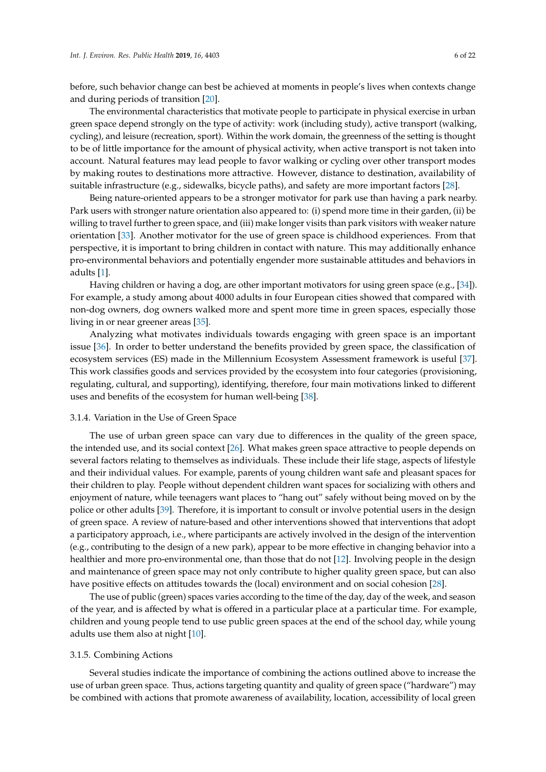before, such behavior change can best be achieved at moments in people's lives when contexts change and during periods of transition [\[20\]](#page-18-2).

The environmental characteristics that motivate people to participate in physical exercise in urban green space depend strongly on the type of activity: work (including study), active transport (walking, cycling), and leisure (recreation, sport). Within the work domain, the greenness of the setting is thought to be of little importance for the amount of physical activity, when active transport is not taken into account. Natural features may lead people to favor walking or cycling over other transport modes by making routes to destinations more attractive. However, distance to destination, availability of suitable infrastructure (e.g., sidewalks, bicycle paths), and safety are more important factors [\[28\]](#page-18-10).

Being nature-oriented appears to be a stronger motivator for park use than having a park nearby. Park users with stronger nature orientation also appeared to: (i) spend more time in their garden, (ii) be willing to travel further to green space, and (iii) make longer visits than park visitors with weaker nature orientation [\[33\]](#page-18-15). Another motivator for the use of green space is childhood experiences. From that perspective, it is important to bring children in contact with nature. This may additionally enhance pro-environmental behaviors and potentially engender more sustainable attitudes and behaviors in adults [\[1\]](#page-17-0).

Having children or having a dog, are other important motivators for using green space (e.g., [\[34\]](#page-18-16)). For example, a study among about 4000 adults in four European cities showed that compared with non-dog owners, dog owners walked more and spent more time in green spaces, especially those living in or near greener areas [\[35\]](#page-18-17).

Analyzing what motivates individuals towards engaging with green space is an important issue [\[36\]](#page-18-18). In order to better understand the benefits provided by green space, the classification of ecosystem services (ES) made in the Millennium Ecosystem Assessment framework is useful [\[37\]](#page-18-19). This work classifies goods and services provided by the ecosystem into four categories (provisioning, regulating, cultural, and supporting), identifying, therefore, four main motivations linked to different uses and benefits of the ecosystem for human well-being [\[38\]](#page-18-20).

## 3.1.4. Variation in the Use of Green Space

The use of urban green space can vary due to differences in the quality of the green space, the intended use, and its social context [\[26\]](#page-18-8). What makes green space attractive to people depends on several factors relating to themselves as individuals. These include their life stage, aspects of lifestyle and their individual values. For example, parents of young children want safe and pleasant spaces for their children to play. People without dependent children want spaces for socializing with others and enjoyment of nature, while teenagers want places to "hang out" safely without being moved on by the police or other adults [\[39\]](#page-19-0). Therefore, it is important to consult or involve potential users in the design of green space. A review of nature-based and other interventions showed that interventions that adopt a participatory approach, i.e., where participants are actively involved in the design of the intervention (e.g., contributing to the design of a new park), appear to be more effective in changing behavior into a healthier and more pro-environmental one, than those that do not [\[12\]](#page-17-9). Involving people in the design and maintenance of green space may not only contribute to higher quality green space, but can also have positive effects on attitudes towards the (local) environment and on social cohesion [\[28\]](#page-18-10).

The use of public (green) spaces varies according to the time of the day, day of the week, and season of the year, and is affected by what is offered in a particular place at a particular time. For example, children and young people tend to use public green spaces at the end of the school day, while young adults use them also at night [\[10\]](#page-17-7).

## 3.1.5. Combining Actions

Several studies indicate the importance of combining the actions outlined above to increase the use of urban green space. Thus, actions targeting quantity and quality of green space ("hardware") may be combined with actions that promote awareness of availability, location, accessibility of local green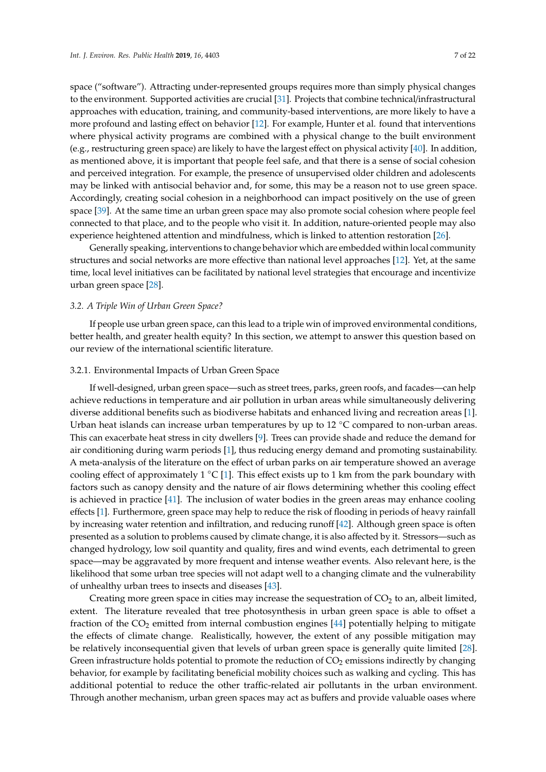space ("software"). Attracting under-represented groups requires more than simply physical changes to the environment. Supported activities are crucial [\[31\]](#page-18-13). Projects that combine technical/infrastructural approaches with education, training, and community-based interventions, are more likely to have a more profound and lasting effect on behavior [\[12\]](#page-17-9). For example, Hunter et al. found that interventions where physical activity programs are combined with a physical change to the built environment (e.g., restructuring green space) are likely to have the largest effect on physical activity [\[40\]](#page-19-1). In addition, as mentioned above, it is important that people feel safe, and that there is a sense of social cohesion and perceived integration. For example, the presence of unsupervised older children and adolescents may be linked with antisocial behavior and, for some, this may be a reason not to use green space. Accordingly, creating social cohesion in a neighborhood can impact positively on the use of green space [\[39\]](#page-19-0). At the same time an urban green space may also promote social cohesion where people feel connected to that place, and to the people who visit it. In addition, nature-oriented people may also experience heightened attention and mindfulness, which is linked to attention restoration [\[26\]](#page-18-8).

Generally speaking, interventions to change behavior which are embedded within local community structures and social networks are more effective than national level approaches [\[12\]](#page-17-9). Yet, at the same time, local level initiatives can be facilitated by national level strategies that encourage and incentivize urban green space [\[28\]](#page-18-10).

## *3.2. A Triple Win of Urban Green Space?*

If people use urban green space, can this lead to a triple win of improved environmental conditions, better health, and greater health equity? In this section, we attempt to answer this question based on our review of the international scientific literature.

## 3.2.1. Environmental Impacts of Urban Green Space

If well-designed, urban green space—such as street trees, parks, green roofs, and facades—can help achieve reductions in temperature and air pollution in urban areas while simultaneously delivering diverse additional benefits such as biodiverse habitats and enhanced living and recreation areas [\[1\]](#page-17-0). Urban heat islands can increase urban temperatures by up to 12 ◦C compared to non-urban areas. This can exacerbate heat stress in city dwellers [\[9\]](#page-17-6). Trees can provide shade and reduce the demand for air conditioning during warm periods [\[1\]](#page-17-0), thus reducing energy demand and promoting sustainability. A meta-analysis of the literature on the effect of urban parks on air temperature showed an average cooling effect of approximately 1 °C [\[1\]](#page-17-0). This effect exists up to 1 km from the park boundary with factors such as canopy density and the nature of air flows determining whether this cooling effect is achieved in practice [\[41\]](#page-19-2). The inclusion of water bodies in the green areas may enhance cooling effects [\[1\]](#page-17-0). Furthermore, green space may help to reduce the risk of flooding in periods of heavy rainfall by increasing water retention and infiltration, and reducing runoff [\[42\]](#page-19-3). Although green space is often presented as a solution to problems caused by climate change, it is also affected by it. Stressors—such as changed hydrology, low soil quantity and quality, fires and wind events, each detrimental to green space—may be aggravated by more frequent and intense weather events. Also relevant here, is the likelihood that some urban tree species will not adapt well to a changing climate and the vulnerability of unhealthy urban trees to insects and diseases [\[43\]](#page-19-4).

Creating more green space in cities may increase the sequestration of  $CO<sub>2</sub>$  to an, albeit limited, extent. The literature revealed that tree photosynthesis in urban green space is able to offset a fraction of the  $CO<sub>2</sub>$  emitted from internal combustion engines [\[44\]](#page-19-5) potentially helping to mitigate the effects of climate change. Realistically, however, the extent of any possible mitigation may be relatively inconsequential given that levels of urban green space is generally quite limited [\[28\]](#page-18-10). Green infrastructure holds potential to promote the reduction of  $CO<sub>2</sub>$  emissions indirectly by changing behavior, for example by facilitating beneficial mobility choices such as walking and cycling. This has additional potential to reduce the other traffic-related air pollutants in the urban environment. Through another mechanism, urban green spaces may act as buffers and provide valuable oases where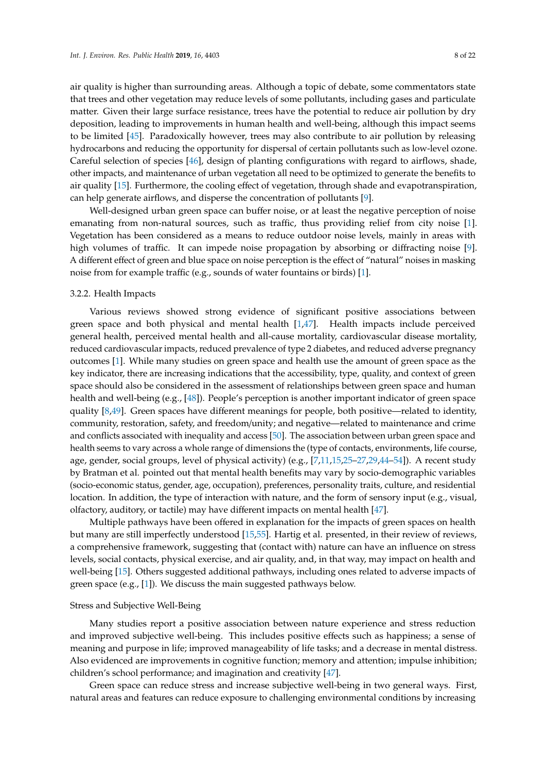air quality is higher than surrounding areas. Although a topic of debate, some commentators state that trees and other vegetation may reduce levels of some pollutants, including gases and particulate matter. Given their large surface resistance, trees have the potential to reduce air pollution by dry deposition, leading to improvements in human health and well-being, although this impact seems to be limited [\[45\]](#page-19-6). Paradoxically however, trees may also contribute to air pollution by releasing hydrocarbons and reducing the opportunity for dispersal of certain pollutants such as low-level ozone. Careful selection of species [\[46\]](#page-19-7), design of planting configurations with regard to airflows, shade, other impacts, and maintenance of urban vegetation all need to be optimized to generate the benefits to air quality [\[15\]](#page-17-12). Furthermore, the cooling effect of vegetation, through shade and evapotranspiration, can help generate airflows, and disperse the concentration of pollutants [\[9\]](#page-17-6).

Well-designed urban green space can buffer noise, or at least the negative perception of noise emanating from non-natural sources, such as traffic, thus providing relief from city noise [\[1\]](#page-17-0). Vegetation has been considered as a means to reduce outdoor noise levels, mainly in areas with high volumes of traffic. It can impede noise propagation by absorbing or diffracting noise [\[9\]](#page-17-6). A different effect of green and blue space on noise perception is the effect of "natural" noises in masking noise from for example traffic (e.g., sounds of water fountains or birds) [\[1\]](#page-17-0).

## 3.2.2. Health Impacts

Various reviews showed strong evidence of significant positive associations between green space and both physical and mental health [\[1,](#page-17-0)[47\]](#page-19-8). Health impacts include perceived general health, perceived mental health and all-cause mortality, cardiovascular disease mortality, reduced cardiovascular impacts, reduced prevalence of type 2 diabetes, and reduced adverse pregnancy outcomes [\[1\]](#page-17-0). While many studies on green space and health use the amount of green space as the key indicator, there are increasing indications that the accessibility, type, quality, and context of green space should also be considered in the assessment of relationships between green space and human health and well-being (e.g., [\[48\]](#page-19-9)). People's perception is another important indicator of green space quality [\[8](#page-17-5)[,49\]](#page-19-10). Green spaces have different meanings for people, both positive—related to identity, community, restoration, safety, and freedom/unity; and negative—related to maintenance and crime and conflicts associated with inequality and access [\[50\]](#page-19-11). The association between urban green space and health seems to vary across a whole range of dimensions the (type of contacts, environments, life course, age, gender, social groups, level of physical activity) (e.g., [\[7,](#page-17-4)[11,](#page-17-8)[15](#page-17-12)[,25](#page-18-7)-27[,29](#page-18-11)[,44](#page-19-5)-54]). A recent study by Bratman et al. pointed out that mental health benefits may vary by socio-demographic variables (socio-economic status, gender, age, occupation), preferences, personality traits, culture, and residential location. In addition, the type of interaction with nature, and the form of sensory input (e.g., visual, olfactory, auditory, or tactile) may have different impacts on mental health [\[47\]](#page-19-8).

Multiple pathways have been offered in explanation for the impacts of green spaces on health but many are still imperfectly understood [\[15](#page-17-12)[,55\]](#page-19-13). Hartig et al. presented, in their review of reviews, a comprehensive framework, suggesting that (contact with) nature can have an influence on stress levels, social contacts, physical exercise, and air quality, and, in that way, may impact on health and well-being [\[15\]](#page-17-12). Others suggested additional pathways, including ones related to adverse impacts of green space (e.g., [\[1\]](#page-17-0)). We discuss the main suggested pathways below.

## Stress and Subjective Well-Being

Many studies report a positive association between nature experience and stress reduction and improved subjective well-being. This includes positive effects such as happiness; a sense of meaning and purpose in life; improved manageability of life tasks; and a decrease in mental distress. Also evidenced are improvements in cognitive function; memory and attention; impulse inhibition; children's school performance; and imagination and creativity [\[47\]](#page-19-8).

Green space can reduce stress and increase subjective well-being in two general ways. First, natural areas and features can reduce exposure to challenging environmental conditions by increasing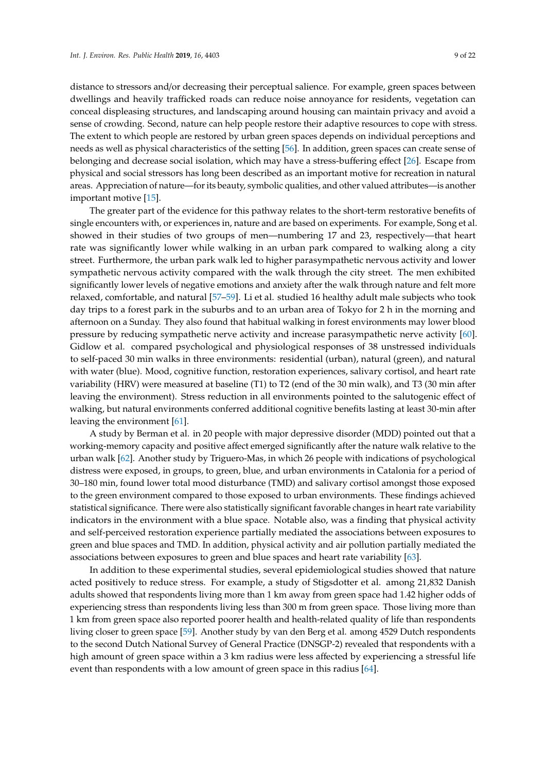distance to stressors and/or decreasing their perceptual salience. For example, green spaces between dwellings and heavily trafficked roads can reduce noise annoyance for residents, vegetation can conceal displeasing structures, and landscaping around housing can maintain privacy and avoid a sense of crowding. Second, nature can help people restore their adaptive resources to cope with stress. The extent to which people are restored by urban green spaces depends on individual perceptions and needs as well as physical characteristics of the setting [\[56\]](#page-19-14). In addition, green spaces can create sense of belonging and decrease social isolation, which may have a stress-buffering effect [\[26\]](#page-18-8). Escape from physical and social stressors has long been described as an important motive for recreation in natural areas. Appreciation of nature—for its beauty, symbolic qualities, and other valued attributes—is another important motive [\[15\]](#page-17-12).

The greater part of the evidence for this pathway relates to the short-term restorative benefits of single encounters with, or experiences in, nature and are based on experiments. For example, Song et al. showed in their studies of two groups of men—numbering 17 and 23, respectively—that heart rate was significantly lower while walking in an urban park compared to walking along a city street. Furthermore, the urban park walk led to higher parasympathetic nervous activity and lower sympathetic nervous activity compared with the walk through the city street. The men exhibited significantly lower levels of negative emotions and anxiety after the walk through nature and felt more relaxed, comfortable, and natural [\[57–](#page-19-15)[59\]](#page-20-0). Li et al. studied 16 healthy adult male subjects who took day trips to a forest park in the suburbs and to an urban area of Tokyo for 2 h in the morning and afternoon on a Sunday. They also found that habitual walking in forest environments may lower blood pressure by reducing sympathetic nerve activity and increase parasympathetic nerve activity [\[60\]](#page-20-1). Gidlow et al. compared psychological and physiological responses of 38 unstressed individuals to self-paced 30 min walks in three environments: residential (urban), natural (green), and natural with water (blue). Mood, cognitive function, restoration experiences, salivary cortisol, and heart rate variability (HRV) were measured at baseline (T1) to T2 (end of the 30 min walk), and T3 (30 min after leaving the environment). Stress reduction in all environments pointed to the salutogenic effect of walking, but natural environments conferred additional cognitive benefits lasting at least 30-min after leaving the environment [\[61\]](#page-20-2).

A study by Berman et al. in 20 people with major depressive disorder (MDD) pointed out that a working-memory capacity and positive affect emerged significantly after the nature walk relative to the urban walk [\[62\]](#page-20-3). Another study by Triguero-Mas, in which 26 people with indications of psychological distress were exposed, in groups, to green, blue, and urban environments in Catalonia for a period of 30–180 min, found lower total mood disturbance (TMD) and salivary cortisol amongst those exposed to the green environment compared to those exposed to urban environments. These findings achieved statistical significance. There were also statistically significant favorable changes in heart rate variability indicators in the environment with a blue space. Notable also, was a finding that physical activity and self-perceived restoration experience partially mediated the associations between exposures to green and blue spaces and TMD. In addition, physical activity and air pollution partially mediated the associations between exposures to green and blue spaces and heart rate variability [\[63\]](#page-20-4).

In addition to these experimental studies, several epidemiological studies showed that nature acted positively to reduce stress. For example, a study of Stigsdotter et al. among 21,832 Danish adults showed that respondents living more than 1 km away from green space had 1.42 higher odds of experiencing stress than respondents living less than 300 m from green space. Those living more than 1 km from green space also reported poorer health and health-related quality of life than respondents living closer to green space [\[59\]](#page-20-0). Another study by van den Berg et al. among 4529 Dutch respondents to the second Dutch National Survey of General Practice (DNSGP-2) revealed that respondents with a high amount of green space within a 3 km radius were less affected by experiencing a stressful life event than respondents with a low amount of green space in this radius [\[64\]](#page-20-5).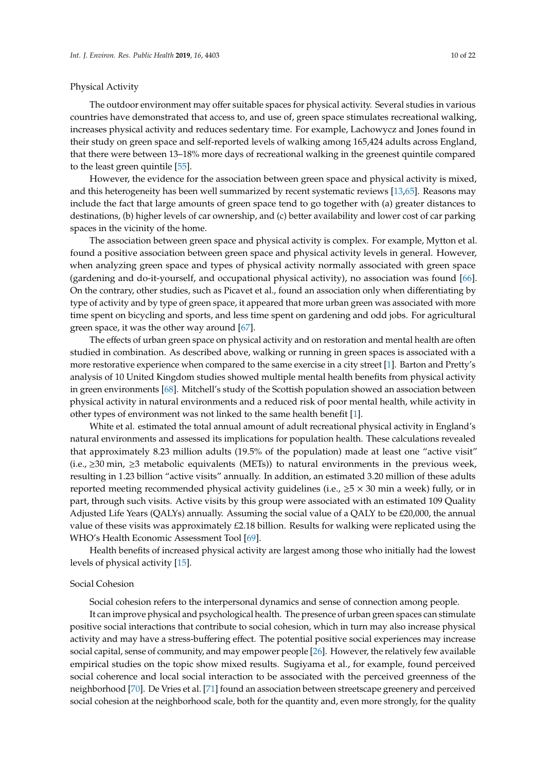#### Physical Activity

The outdoor environment may offer suitable spaces for physical activity. Several studies in various countries have demonstrated that access to, and use of, green space stimulates recreational walking, increases physical activity and reduces sedentary time. For example, Lachowycz and Jones found in their study on green space and self-reported levels of walking among 165,424 adults across England, that there were between 13–18% more days of recreational walking in the greenest quintile compared to the least green quintile [\[55\]](#page-19-13).

However, the evidence for the association between green space and physical activity is mixed, and this heterogeneity has been well summarized by recent systematic reviews [\[13](#page-17-10)[,65\]](#page-20-6). Reasons may include the fact that large amounts of green space tend to go together with (a) greater distances to destinations, (b) higher levels of car ownership, and (c) better availability and lower cost of car parking spaces in the vicinity of the home.

The association between green space and physical activity is complex. For example, Mytton et al. found a positive association between green space and physical activity levels in general. However, when analyzing green space and types of physical activity normally associated with green space (gardening and do-it-yourself, and occupational physical activity), no association was found [\[66\]](#page-20-7). On the contrary, other studies, such as Picavet et al., found an association only when differentiating by type of activity and by type of green space, it appeared that more urban green was associated with more time spent on bicycling and sports, and less time spent on gardening and odd jobs. For agricultural green space, it was the other way around [\[67\]](#page-20-8).

The effects of urban green space on physical activity and on restoration and mental health are often studied in combination. As described above, walking or running in green spaces is associated with a more restorative experience when compared to the same exercise in a city street [\[1\]](#page-17-0). Barton and Pretty's analysis of 10 United Kingdom studies showed multiple mental health benefits from physical activity in green environments [\[68\]](#page-20-9). Mitchell's study of the Scottish population showed an association between physical activity in natural environments and a reduced risk of poor mental health, while activity in other types of environment was not linked to the same health benefit [\[1\]](#page-17-0).

White et al. estimated the total annual amount of adult recreational physical activity in England's natural environments and assessed its implications for population health. These calculations revealed that approximately 8.23 million adults (19.5% of the population) made at least one "active visit" (i.e., ≥30 min, ≥3 metabolic equivalents (METs)) to natural environments in the previous week, resulting in 1.23 billion "active visits" annually. In addition, an estimated 3.20 million of these adults reported meeting recommended physical activity guidelines (i.e.,  $\geq$  5  $\times$  30 min a week) fully, or in part, through such visits. Active visits by this group were associated with an estimated 109 Quality Adjusted Life Years (QALYs) annually. Assuming the social value of a QALY to be £20,000, the annual value of these visits was approximately £2.18 billion. Results for walking were replicated using the WHO's Health Economic Assessment Tool [\[69\]](#page-20-10).

Health benefits of increased physical activity are largest among those who initially had the lowest levels of physical activity [\[15\]](#page-17-12).

#### Social Cohesion

Social cohesion refers to the interpersonal dynamics and sense of connection among people.

It can improve physical and psychological health. The presence of urban green spaces can stimulate positive social interactions that contribute to social cohesion, which in turn may also increase physical activity and may have a stress-buffering effect. The potential positive social experiences may increase social capital, sense of community, and may empower people [\[26\]](#page-18-8). However, the relatively few available empirical studies on the topic show mixed results. Sugiyama et al., for example, found perceived social coherence and local social interaction to be associated with the perceived greenness of the neighborhood [\[70\]](#page-20-11). De Vries et al. [\[71\]](#page-20-12) found an association between streetscape greenery and perceived social cohesion at the neighborhood scale, both for the quantity and, even more strongly, for the quality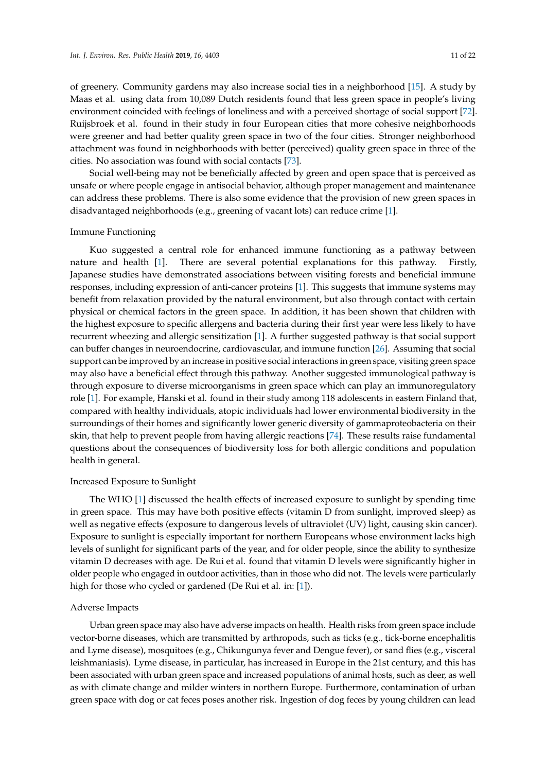of greenery. Community gardens may also increase social ties in a neighborhood [\[15\]](#page-17-12). A study by Maas et al. using data from 10,089 Dutch residents found that less green space in people's living environment coincided with feelings of loneliness and with a perceived shortage of social support [\[72\]](#page-20-13). Ruijsbroek et al. found in their study in four European cities that more cohesive neighborhoods were greener and had better quality green space in two of the four cities. Stronger neighborhood attachment was found in neighborhoods with better (perceived) quality green space in three of the cities. No association was found with social contacts [\[73\]](#page-20-14).

Social well-being may not be beneficially affected by green and open space that is perceived as unsafe or where people engage in antisocial behavior, although proper management and maintenance can address these problems. There is also some evidence that the provision of new green spaces in disadvantaged neighborhoods (e.g., greening of vacant lots) can reduce crime [\[1\]](#page-17-0).

#### Immune Functioning

Kuo suggested a central role for enhanced immune functioning as a pathway between nature and health [\[1\]](#page-17-0). There are several potential explanations for this pathway. Firstly, Japanese studies have demonstrated associations between visiting forests and beneficial immune responses, including expression of anti-cancer proteins [\[1\]](#page-17-0). This suggests that immune systems may benefit from relaxation provided by the natural environment, but also through contact with certain physical or chemical factors in the green space. In addition, it has been shown that children with the highest exposure to specific allergens and bacteria during their first year were less likely to have recurrent wheezing and allergic sensitization [\[1\]](#page-17-0). A further suggested pathway is that social support can buffer changes in neuroendocrine, cardiovascular, and immune function [\[26\]](#page-18-8). Assuming that social support can be improved by an increase in positive social interactions in green space, visiting green space may also have a beneficial effect through this pathway. Another suggested immunological pathway is through exposure to diverse microorganisms in green space which can play an immunoregulatory role [\[1\]](#page-17-0). For example, Hanski et al. found in their study among 118 adolescents in eastern Finland that, compared with healthy individuals, atopic individuals had lower environmental biodiversity in the surroundings of their homes and significantly lower generic diversity of gammaproteobacteria on their skin, that help to prevent people from having allergic reactions [\[74\]](#page-20-15). These results raise fundamental questions about the consequences of biodiversity loss for both allergic conditions and population health in general.

## Increased Exposure to Sunlight

The WHO [\[1\]](#page-17-0) discussed the health effects of increased exposure to sunlight by spending time in green space. This may have both positive effects (vitamin D from sunlight, improved sleep) as well as negative effects (exposure to dangerous levels of ultraviolet (UV) light, causing skin cancer). Exposure to sunlight is especially important for northern Europeans whose environment lacks high levels of sunlight for significant parts of the year, and for older people, since the ability to synthesize vitamin D decreases with age. De Rui et al. found that vitamin D levels were significantly higher in older people who engaged in outdoor activities, than in those who did not. The levels were particularly high for those who cycled or gardened (De Rui et al. in: [\[1\]](#page-17-0)).

#### Adverse Impacts

Urban green space may also have adverse impacts on health. Health risks from green space include vector-borne diseases, which are transmitted by arthropods, such as ticks (e.g., tick-borne encephalitis and Lyme disease), mosquitoes (e.g., Chikungunya fever and Dengue fever), or sand flies (e.g., visceral leishmaniasis). Lyme disease, in particular, has increased in Europe in the 21st century, and this has been associated with urban green space and increased populations of animal hosts, such as deer, as well as with climate change and milder winters in northern Europe. Furthermore, contamination of urban green space with dog or cat feces poses another risk. Ingestion of dog feces by young children can lead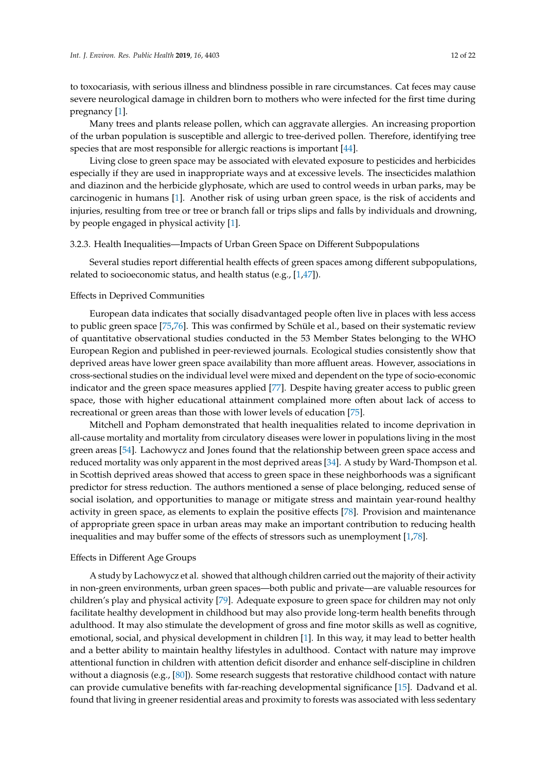to toxocariasis, with serious illness and blindness possible in rare circumstances. Cat feces may cause severe neurological damage in children born to mothers who were infected for the first time during pregnancy [\[1\]](#page-17-0).

Many trees and plants release pollen, which can aggravate allergies. An increasing proportion of the urban population is susceptible and allergic to tree-derived pollen. Therefore, identifying tree species that are most responsible for allergic reactions is important [\[44\]](#page-19-5).

Living close to green space may be associated with elevated exposure to pesticides and herbicides especially if they are used in inappropriate ways and at excessive levels. The insecticides malathion and diazinon and the herbicide glyphosate, which are used to control weeds in urban parks, may be carcinogenic in humans [\[1\]](#page-17-0). Another risk of using urban green space, is the risk of accidents and injuries, resulting from tree or tree or branch fall or trips slips and falls by individuals and drowning, by people engaged in physical activity [\[1\]](#page-17-0).

## 3.2.3. Health Inequalities—Impacts of Urban Green Space on Different Subpopulations

Several studies report differential health effects of green spaces among different subpopulations, related to socioeconomic status, and health status (e.g., [\[1,](#page-17-0)[47\]](#page-19-8)).

## Effects in Deprived Communities

European data indicates that socially disadvantaged people often live in places with less access to public green space [\[75,](#page-20-16)[76\]](#page-20-17). This was confirmed by Schüle et al., based on their systematic review of quantitative observational studies conducted in the 53 Member States belonging to the WHO European Region and published in peer-reviewed journals. Ecological studies consistently show that deprived areas have lower green space availability than more affluent areas. However, associations in cross-sectional studies on the individual level were mixed and dependent on the type of socio-economic indicator and the green space measures applied [\[77\]](#page-20-18). Despite having greater access to public green space, those with higher educational attainment complained more often about lack of access to recreational or green areas than those with lower levels of education [\[75\]](#page-20-16).

Mitchell and Popham demonstrated that health inequalities related to income deprivation in all-cause mortality and mortality from circulatory diseases were lower in populations living in the most green areas [\[54\]](#page-19-12). Lachowycz and Jones found that the relationship between green space access and reduced mortality was only apparent in the most deprived areas [\[34\]](#page-18-16). A study by Ward-Thompson et al. in Scottish deprived areas showed that access to green space in these neighborhoods was a significant predictor for stress reduction. The authors mentioned a sense of place belonging, reduced sense of social isolation, and opportunities to manage or mitigate stress and maintain year-round healthy activity in green space, as elements to explain the positive effects [\[78\]](#page-21-0). Provision and maintenance of appropriate green space in urban areas may make an important contribution to reducing health inequalities and may buffer some of the effects of stressors such as unemployment [\[1](#page-17-0)[,78\]](#page-21-0).

#### Effects in Different Age Groups

A study by Lachowycz et al. showed that although children carried out the majority of their activity in non-green environments, urban green spaces—both public and private—are valuable resources for children's play and physical activity [\[79\]](#page-21-1). Adequate exposure to green space for children may not only facilitate healthy development in childhood but may also provide long-term health benefits through adulthood. It may also stimulate the development of gross and fine motor skills as well as cognitive, emotional, social, and physical development in children [\[1\]](#page-17-0). In this way, it may lead to better health and a better ability to maintain healthy lifestyles in adulthood. Contact with nature may improve attentional function in children with attention deficit disorder and enhance self-discipline in children without a diagnosis (e.g., [\[80\]](#page-21-2)). Some research suggests that restorative childhood contact with nature can provide cumulative benefits with far-reaching developmental significance [\[15\]](#page-17-12). Dadvand et al. found that living in greener residential areas and proximity to forests was associated with less sedentary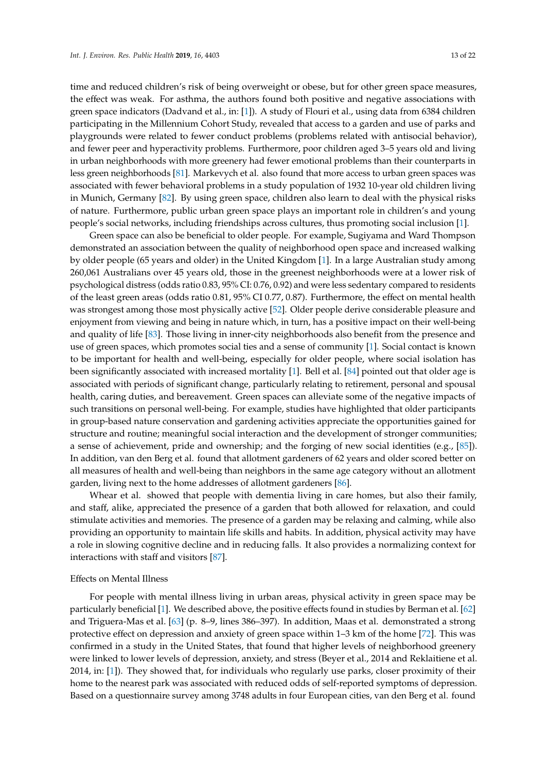time and reduced children's risk of being overweight or obese, but for other green space measures, the effect was weak. For asthma, the authors found both positive and negative associations with green space indicators (Dadvand et al., in: [\[1\]](#page-17-0)). A study of Flouri et al., using data from 6384 children participating in the Millennium Cohort Study, revealed that access to a garden and use of parks and playgrounds were related to fewer conduct problems (problems related with antisocial behavior), and fewer peer and hyperactivity problems. Furthermore, poor children aged 3–5 years old and living in urban neighborhoods with more greenery had fewer emotional problems than their counterparts in less green neighborhoods [\[81\]](#page-21-3). Markevych et al. also found that more access to urban green spaces was associated with fewer behavioral problems in a study population of 1932 10-year old children living in Munich, Germany [\[82\]](#page-21-4). By using green space, children also learn to deal with the physical risks of nature. Furthermore, public urban green space plays an important role in children's and young people's social networks, including friendships across cultures, thus promoting social inclusion [\[1\]](#page-17-0).

Green space can also be beneficial to older people. For example, Sugiyama and Ward Thompson demonstrated an association between the quality of neighborhood open space and increased walking by older people (65 years and older) in the United Kingdom [\[1\]](#page-17-0). In a large Australian study among 260,061 Australians over 45 years old, those in the greenest neighborhoods were at a lower risk of psychological distress (odds ratio 0.83, 95% CI: 0.76, 0.92) and were less sedentary compared to residents of the least green areas (odds ratio 0.81, 95% CI 0.77, 0.87). Furthermore, the effect on mental health was strongest among those most physically active [\[52\]](#page-19-16). Older people derive considerable pleasure and enjoyment from viewing and being in nature which, in turn, has a positive impact on their well-being and quality of life [\[83\]](#page-21-5). Those living in inner-city neighborhoods also benefit from the presence and use of green spaces, which promotes social ties and a sense of community [\[1\]](#page-17-0). Social contact is known to be important for health and well-being, especially for older people, where social isolation has been significantly associated with increased mortality [\[1\]](#page-17-0). Bell et al. [\[84\]](#page-21-6) pointed out that older age is associated with periods of significant change, particularly relating to retirement, personal and spousal health, caring duties, and bereavement. Green spaces can alleviate some of the negative impacts of such transitions on personal well-being. For example, studies have highlighted that older participants in group-based nature conservation and gardening activities appreciate the opportunities gained for structure and routine; meaningful social interaction and the development of stronger communities; a sense of achievement, pride and ownership; and the forging of new social identities (e.g., [\[85\]](#page-21-7)). In addition, van den Berg et al. found that allotment gardeners of 62 years and older scored better on all measures of health and well-being than neighbors in the same age category without an allotment garden, living next to the home addresses of allotment gardeners [\[86\]](#page-21-8).

Whear et al. showed that people with dementia living in care homes, but also their family, and staff, alike, appreciated the presence of a garden that both allowed for relaxation, and could stimulate activities and memories. The presence of a garden may be relaxing and calming, while also providing an opportunity to maintain life skills and habits. In addition, physical activity may have a role in slowing cognitive decline and in reducing falls. It also provides a normalizing context for interactions with staff and visitors [\[87\]](#page-21-9).

#### Effects on Mental Illness

For people with mental illness living in urban areas, physical activity in green space may be particularly beneficial [\[1\]](#page-17-0). We described above, the positive effects found in studies by Berman et al. [\[62\]](#page-20-3) and Triguera-Mas et al. [\[63\]](#page-20-4) (p. 8–9, lines 386–397). In addition, Maas et al. demonstrated a strong protective effect on depression and anxiety of green space within 1–3 km of the home [\[72\]](#page-20-13). This was confirmed in a study in the United States, that found that higher levels of neighborhood greenery were linked to lower levels of depression, anxiety, and stress (Beyer et al., 2014 and Reklaitiene et al. 2014, in: [\[1\]](#page-17-0)). They showed that, for individuals who regularly use parks, closer proximity of their home to the nearest park was associated with reduced odds of self-reported symptoms of depression. Based on a questionnaire survey among 3748 adults in four European cities, van den Berg et al. found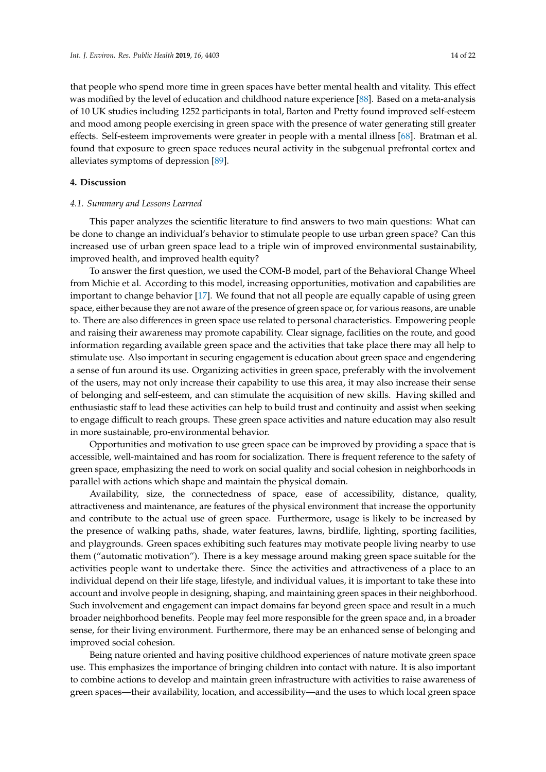that people who spend more time in green spaces have better mental health and vitality. This effect was modified by the level of education and childhood nature experience [\[88\]](#page-21-10). Based on a meta-analysis of 10 UK studies including 1252 participants in total, Barton and Pretty found improved self-esteem and mood among people exercising in green space with the presence of water generating still greater effects. Self-esteem improvements were greater in people with a mental illness [\[68\]](#page-20-9). Bratman et al. found that exposure to green space reduces neural activity in the subgenual prefrontal cortex and alleviates symptoms of depression [\[89\]](#page-21-11).

## **4. Discussion**

## *4.1. Summary and Lessons Learned*

This paper analyzes the scientific literature to find answers to two main questions: What can be done to change an individual's behavior to stimulate people to use urban green space? Can this increased use of urban green space lead to a triple win of improved environmental sustainability, improved health, and improved health equity?

To answer the first question, we used the COM-B model, part of the Behavioral Change Wheel from Michie et al. According to this model, increasing opportunities, motivation and capabilities are important to change behavior [\[17\]](#page-17-14). We found that not all people are equally capable of using green space, either because they are not aware of the presence of green space or, for various reasons, are unable to. There are also differences in green space use related to personal characteristics. Empowering people and raising their awareness may promote capability. Clear signage, facilities on the route, and good information regarding available green space and the activities that take place there may all help to stimulate use. Also important in securing engagement is education about green space and engendering a sense of fun around its use. Organizing activities in green space, preferably with the involvement of the users, may not only increase their capability to use this area, it may also increase their sense of belonging and self-esteem, and can stimulate the acquisition of new skills. Having skilled and enthusiastic staff to lead these activities can help to build trust and continuity and assist when seeking to engage difficult to reach groups. These green space activities and nature education may also result in more sustainable, pro-environmental behavior.

Opportunities and motivation to use green space can be improved by providing a space that is accessible, well-maintained and has room for socialization. There is frequent reference to the safety of green space, emphasizing the need to work on social quality and social cohesion in neighborhoods in parallel with actions which shape and maintain the physical domain.

Availability, size, the connectedness of space, ease of accessibility, distance, quality, attractiveness and maintenance, are features of the physical environment that increase the opportunity and contribute to the actual use of green space. Furthermore, usage is likely to be increased by the presence of walking paths, shade, water features, lawns, birdlife, lighting, sporting facilities, and playgrounds. Green spaces exhibiting such features may motivate people living nearby to use them ("automatic motivation"). There is a key message around making green space suitable for the activities people want to undertake there. Since the activities and attractiveness of a place to an individual depend on their life stage, lifestyle, and individual values, it is important to take these into account and involve people in designing, shaping, and maintaining green spaces in their neighborhood. Such involvement and engagement can impact domains far beyond green space and result in a much broader neighborhood benefits. People may feel more responsible for the green space and, in a broader sense, for their living environment. Furthermore, there may be an enhanced sense of belonging and improved social cohesion.

Being nature oriented and having positive childhood experiences of nature motivate green space use. This emphasizes the importance of bringing children into contact with nature. It is also important to combine actions to develop and maintain green infrastructure with activities to raise awareness of green spaces—their availability, location, and accessibility—and the uses to which local green space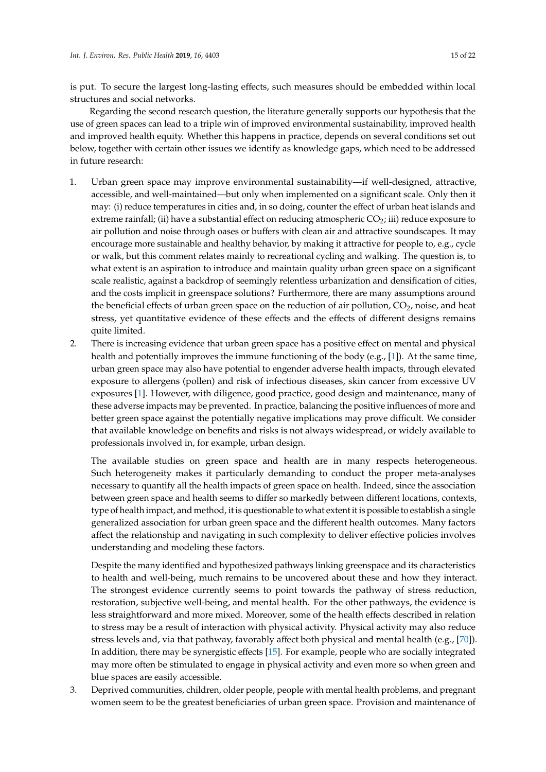is put. To secure the largest long-lasting effects, such measures should be embedded within local structures and social networks.

Regarding the second research question, the literature generally supports our hypothesis that the use of green spaces can lead to a triple win of improved environmental sustainability, improved health and improved health equity. Whether this happens in practice, depends on several conditions set out below, together with certain other issues we identify as knowledge gaps, which need to be addressed in future research:

- 1. Urban green space may improve environmental sustainability—if well-designed, attractive, accessible, and well-maintained—but only when implemented on a significant scale. Only then it may: (i) reduce temperatures in cities and, in so doing, counter the effect of urban heat islands and extreme rainfall; (ii) have a substantial effect on reducing atmospheric  $CO_2$ ; iii) reduce exposure to air pollution and noise through oases or buffers with clean air and attractive soundscapes. It may encourage more sustainable and healthy behavior, by making it attractive for people to, e.g., cycle or walk, but this comment relates mainly to recreational cycling and walking. The question is, to what extent is an aspiration to introduce and maintain quality urban green space on a significant scale realistic, against a backdrop of seemingly relentless urbanization and densification of cities, and the costs implicit in greenspace solutions? Furthermore, there are many assumptions around the beneficial effects of urban green space on the reduction of air pollution,  $CO<sub>2</sub>$ , noise, and heat stress, yet quantitative evidence of these effects and the effects of different designs remains quite limited.
- 2. There is increasing evidence that urban green space has a positive effect on mental and physical health and potentially improves the immune functioning of the body (e.g., [\[1\]](#page-17-0)). At the same time, urban green space may also have potential to engender adverse health impacts, through elevated exposure to allergens (pollen) and risk of infectious diseases, skin cancer from excessive UV exposures [\[1\]](#page-17-0). However, with diligence, good practice, good design and maintenance, many of these adverse impacts may be prevented. In practice, balancing the positive influences of more and better green space against the potentially negative implications may prove difficult. We consider that available knowledge on benefits and risks is not always widespread, or widely available to professionals involved in, for example, urban design.

The available studies on green space and health are in many respects heterogeneous. Such heterogeneity makes it particularly demanding to conduct the proper meta-analyses necessary to quantify all the health impacts of green space on health. Indeed, since the association between green space and health seems to differ so markedly between different locations, contexts, type of health impact, and method, it is questionable to what extent it is possible to establish a single generalized association for urban green space and the different health outcomes. Many factors affect the relationship and navigating in such complexity to deliver effective policies involves understanding and modeling these factors.

Despite the many identified and hypothesized pathways linking greenspace and its characteristics to health and well-being, much remains to be uncovered about these and how they interact. The strongest evidence currently seems to point towards the pathway of stress reduction, restoration, subjective well-being, and mental health. For the other pathways, the evidence is less straightforward and more mixed. Moreover, some of the health effects described in relation to stress may be a result of interaction with physical activity. Physical activity may also reduce stress levels and, via that pathway, favorably affect both physical and mental health (e.g., [\[70\]](#page-20-11)). In addition, there may be synergistic effects [\[15\]](#page-17-12). For example, people who are socially integrated may more often be stimulated to engage in physical activity and even more so when green and blue spaces are easily accessible.

3. Deprived communities, children, older people, people with mental health problems, and pregnant women seem to be the greatest beneficiaries of urban green space. Provision and maintenance of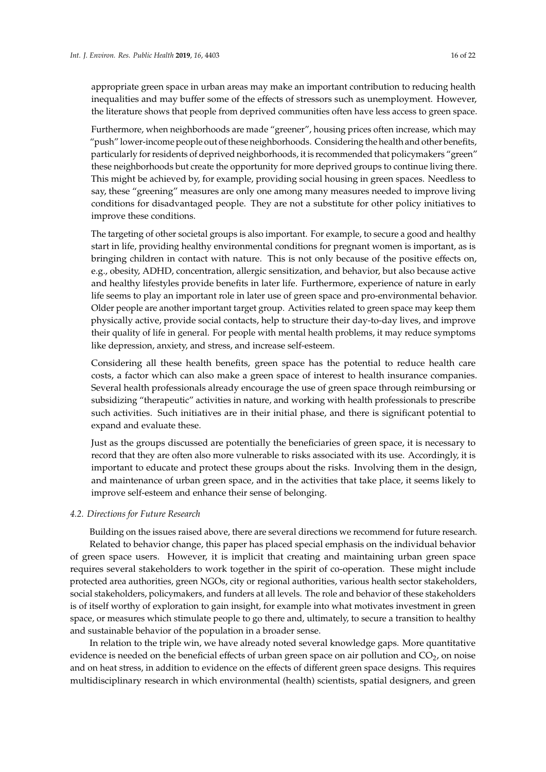appropriate green space in urban areas may make an important contribution to reducing health inequalities and may buffer some of the effects of stressors such as unemployment. However, the literature shows that people from deprived communities often have less access to green space.

Furthermore, when neighborhoods are made "greener", housing prices often increase, which may "push" lower-income people out of these neighborhoods. Considering the health and other benefits, particularly for residents of deprived neighborhoods, it is recommended that policymakers "green" these neighborhoods but create the opportunity for more deprived groups to continue living there. This might be achieved by, for example, providing social housing in green spaces. Needless to say, these "greening" measures are only one among many measures needed to improve living conditions for disadvantaged people. They are not a substitute for other policy initiatives to improve these conditions.

The targeting of other societal groups is also important. For example, to secure a good and healthy start in life, providing healthy environmental conditions for pregnant women is important, as is bringing children in contact with nature. This is not only because of the positive effects on, e.g., obesity, ADHD, concentration, allergic sensitization, and behavior, but also because active and healthy lifestyles provide benefits in later life. Furthermore, experience of nature in early life seems to play an important role in later use of green space and pro-environmental behavior. Older people are another important target group. Activities related to green space may keep them physically active, provide social contacts, help to structure their day-to-day lives, and improve their quality of life in general. For people with mental health problems, it may reduce symptoms like depression, anxiety, and stress, and increase self-esteem.

Considering all these health benefits, green space has the potential to reduce health care costs, a factor which can also make a green space of interest to health insurance companies. Several health professionals already encourage the use of green space through reimbursing or subsidizing "therapeutic" activities in nature, and working with health professionals to prescribe such activities. Such initiatives are in their initial phase, and there is significant potential to expand and evaluate these.

Just as the groups discussed are potentially the beneficiaries of green space, it is necessary to record that they are often also more vulnerable to risks associated with its use. Accordingly, it is important to educate and protect these groups about the risks. Involving them in the design, and maintenance of urban green space, and in the activities that take place, it seems likely to improve self-esteem and enhance their sense of belonging.

## *4.2. Directions for Future Research*

Building on the issues raised above, there are several directions we recommend for future research. Related to behavior change, this paper has placed special emphasis on the individual behavior of green space users. However, it is implicit that creating and maintaining urban green space requires several stakeholders to work together in the spirit of co-operation. These might include protected area authorities, green NGOs, city or regional authorities, various health sector stakeholders, social stakeholders, policymakers, and funders at all levels. The role and behavior of these stakeholders is of itself worthy of exploration to gain insight, for example into what motivates investment in green space, or measures which stimulate people to go there and, ultimately, to secure a transition to healthy and sustainable behavior of the population in a broader sense.

In relation to the triple win, we have already noted several knowledge gaps. More quantitative evidence is needed on the beneficial effects of urban green space on air pollution and  $CO<sub>2</sub>$ , on noise and on heat stress, in addition to evidence on the effects of different green space designs. This requires multidisciplinary research in which environmental (health) scientists, spatial designers, and green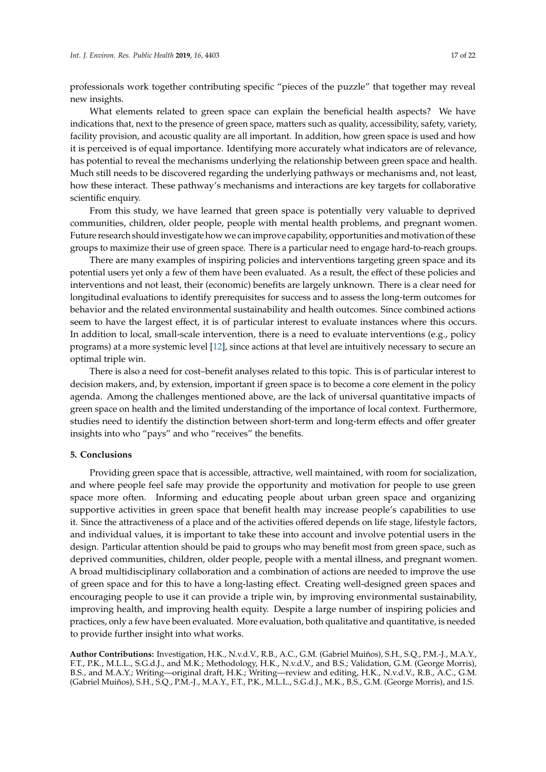professionals work together contributing specific "pieces of the puzzle" that together may reveal new insights.

What elements related to green space can explain the beneficial health aspects? We have indications that, next to the presence of green space, matters such as quality, accessibility, safety, variety, facility provision, and acoustic quality are all important. In addition, how green space is used and how it is perceived is of equal importance. Identifying more accurately what indicators are of relevance, has potential to reveal the mechanisms underlying the relationship between green space and health. Much still needs to be discovered regarding the underlying pathways or mechanisms and, not least, how these interact. These pathway's mechanisms and interactions are key targets for collaborative scientific enquiry.

From this study, we have learned that green space is potentially very valuable to deprived communities, children, older people, people with mental health problems, and pregnant women. Future research should investigate how we can improve capability, opportunities and motivation of these groups to maximize their use of green space. There is a particular need to engage hard-to-reach groups.

There are many examples of inspiring policies and interventions targeting green space and its potential users yet only a few of them have been evaluated. As a result, the effect of these policies and interventions and not least, their (economic) benefits are largely unknown. There is a clear need for longitudinal evaluations to identify prerequisites for success and to assess the long-term outcomes for behavior and the related environmental sustainability and health outcomes. Since combined actions seem to have the largest effect, it is of particular interest to evaluate instances where this occurs. In addition to local, small-scale intervention, there is a need to evaluate interventions (e.g., policy programs) at a more systemic level [\[12\]](#page-17-9), since actions at that level are intuitively necessary to secure an optimal triple win.

There is also a need for cost–benefit analyses related to this topic. This is of particular interest to decision makers, and, by extension, important if green space is to become a core element in the policy agenda. Among the challenges mentioned above, are the lack of universal quantitative impacts of green space on health and the limited understanding of the importance of local context. Furthermore, studies need to identify the distinction between short-term and long-term effects and offer greater insights into who "pays" and who "receives" the benefits.

## **5. Conclusions**

Providing green space that is accessible, attractive, well maintained, with room for socialization, and where people feel safe may provide the opportunity and motivation for people to use green space more often. Informing and educating people about urban green space and organizing supportive activities in green space that benefit health may increase people's capabilities to use it. Since the attractiveness of a place and of the activities offered depends on life stage, lifestyle factors, and individual values, it is important to take these into account and involve potential users in the design. Particular attention should be paid to groups who may benefit most from green space, such as deprived communities, children, older people, people with a mental illness, and pregnant women. A broad multidisciplinary collaboration and a combination of actions are needed to improve the use of green space and for this to have a long-lasting effect. Creating well-designed green spaces and encouraging people to use it can provide a triple win, by improving environmental sustainability, improving health, and improving health equity. Despite a large number of inspiring policies and practices, only a few have been evaluated. More evaluation, both qualitative and quantitative, is needed to provide further insight into what works.

**Author Contributions:** Investigation, H.K., N.v.d.V., R.B., A.C., G.M. (Gabriel Muiños), S.H., S.Q., P.M.-J., M.A.Y., F.T., P.K., M.L.L., S.G.d.J., and M.K.; Methodology, H.K., N.v.d.V., and B.S.; Validation, G.M. (George Morris), B.S., and M.A.Y.; Writing—original draft, H.K.; Writing—review and editing, H.K., N.v.d.V., R.B., A.C., G.M. (Gabriel Muiños), S.H., S.Q., P.M.-J., M.A.Y., F.T., P.K., M.L.L., S.G.d.J., M.K., B.S., G.M. (George Morris), and I.S.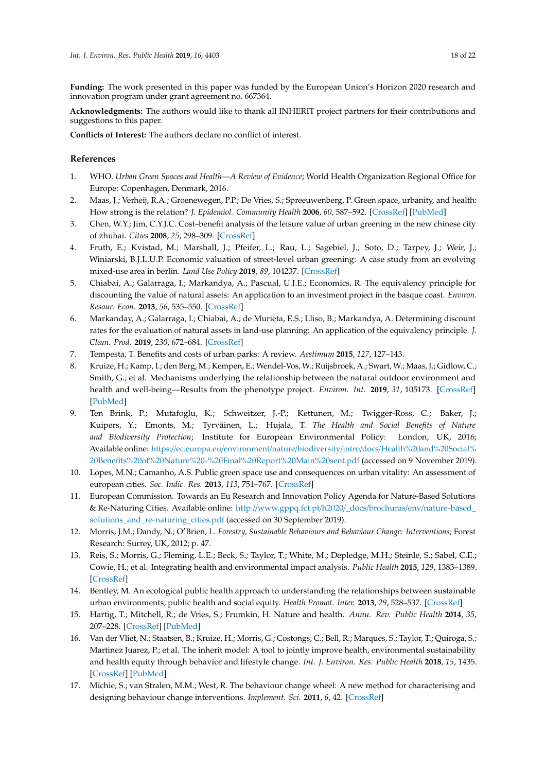**Funding:** The work presented in this paper was funded by the European Union's Horizon 2020 research and innovation program under grant agreement no. 667364.

**Acknowledgments:** The authors would like to thank all INHERIT project partners for their contributions and suggestions to this paper.

**Conflicts of Interest:** The authors declare no conflict of interest.

# **References**

- <span id="page-17-0"></span>1. WHO. *Urban Green Spaces and Health—A Review of Evidence*; World Health Organization Regional Office for Europe: Copenhagen, Denmark, 2016.
- <span id="page-17-1"></span>2. Maas, J.; Verheij, R.A.; Groenewegen, P.P.; De Vries, S.; Spreeuwenberg, P. Green space, urbanity, and health: How strong is the relation? *J. Epidemiol. Community Health* **2006**, *60*, 587–592. [\[CrossRef\]](http://dx.doi.org/10.1136/jech.2005.043125) [\[PubMed\]](http://www.ncbi.nlm.nih.gov/pubmed/16790830)
- <span id="page-17-2"></span>3. Chen, W.Y.; Jim, C.Y.J.C. Cost–benefit analysis of the leisure value of urban greening in the new chinese city of zhuhai. *Cities* **2008**, *25*, 298–309. [\[CrossRef\]](http://dx.doi.org/10.1016/j.cities.2008.06.002)
- 4. Fruth, E.; Kvistad, M.; Marshall, J.; Pfeifer, L.; Rau, L.; Sagebiel, J.; Soto, D.; Tarpey, J.; Weir, J.; Winiarski, B.J.L.U.P. Economic valuation of street-level urban greening: A case study from an evolving mixed-use area in berlin. *Land Use Policy* **2019**, *89*, 104237. [\[CrossRef\]](http://dx.doi.org/10.1016/j.landusepol.2019.104237)
- 5. Chiabai, A.; Galarraga, I.; Markandya, A.; Pascual, U.J.E.; Economics, R. The equivalency principle for discounting the value of natural assets: An application to an investment project in the basque coast. *Environ. Resour. Econ.* **2013**, *56*, 535–550. [\[CrossRef\]](http://dx.doi.org/10.1007/s10640-012-9589-8)
- <span id="page-17-3"></span>6. Markanday, A.; Galarraga, I.; Chiabai, A.; de Murieta, E.S.; Lliso, B.; Markandya, A. Determining discount rates for the evaluation of natural assets in land-use planning: An application of the equivalency principle. *J. Clean. Prod.* **2019**, *230*, 672–684. [\[CrossRef\]](http://dx.doi.org/10.1016/j.jclepro.2019.05.107)
- <span id="page-17-4"></span>7. Tempesta, T. Benefits and costs of urban parks: A review. *Aestimum* **2015**, *127*, 127–143.
- <span id="page-17-5"></span>8. Kruize, H.; Kamp, I.; den Berg, M.; Kempen, E.; Wendel-Vos, W.; Ruijsbroek, A.; Swart, W.; Maas, J.; Gidlow, C.; Smith, G.; et al. Mechanisms underlying the relationship between the natural outdoor environment and health and well-being—Results from the phenotype project. *Environ. Int.* **2019**, *31*, 105173. [\[CrossRef\]](http://dx.doi.org/10.1016/j.envint.2019.105173) [\[PubMed\]](http://www.ncbi.nlm.nih.gov/pubmed/31677803)
- <span id="page-17-6"></span>9. Ten Brink, P.; Mutafoglu, K.; Schweitzer, J.-P.; Kettunen, M.; Twigger-Ross, C.; Baker, J.; Kuipers, Y.; Emonts, M.; Tyrväinen, L.; Hujala, T. *The Health and Social Benefits of Nature and Biodiversity Protection*; Institute for European Environmental Policy: London, UK, 2016; Available online: https://ec.europa.eu/environment/nature/biodiversity/intro/docs/[Health%20and%20Social%](https://ec.europa.eu/environment/nature/biodiversity/intro/docs/Health%20and%20Social%20Benefits%20of%20Nature%20-%20Final%20Report%20Main%20sent.pdf) [20Benefits%20of%20Nature%20-%20Final%20Report%20Main%20sent.pdf](https://ec.europa.eu/environment/nature/biodiversity/intro/docs/Health%20and%20Social%20Benefits%20of%20Nature%20-%20Final%20Report%20Main%20sent.pdf) (accessed on 9 November 2019).
- <span id="page-17-7"></span>10. Lopes, M.N.; Camanho, A.S. Public green space use and consequences on urban vitality: An assessment of european cities. *Soc. Indic. Res.* **2013**, *113*, 751–767. [\[CrossRef\]](http://dx.doi.org/10.1007/s11205-012-0106-9)
- <span id="page-17-8"></span>11. European Commission. Towards an Eu Research and Innovation Policy Agenda for Nature-Based Solutions & Re-Naturing Cities. Available online: http://[www.gppq.fct.pt](http://www.gppq.fct.pt/h2020/_docs/brochuras/env/nature-based_solutions_and_re-naturing_cities.pdf)/h2020/\_docs/brochuras/env/nature-based\_ [solutions\\_and\\_re-naturing\\_cities.pdf](http://www.gppq.fct.pt/h2020/_docs/brochuras/env/nature-based_solutions_and_re-naturing_cities.pdf) (accessed on 30 September 2019).
- <span id="page-17-9"></span>12. Morris, J.M.; Dandy, N.; O'Brien, L. *Forestry, Sustainable Behaviours and Behaviour Change: Interventions*; Forest Research: Surrey, UK, 2012; p. 47.
- <span id="page-17-10"></span>13. Reis, S.; Morris, G.; Fleming, L.E.; Beck, S.; Taylor, T.; White, M.; Depledge, M.H.; Steinle, S.; Sabel, C.E.; Cowie, H.; et al. Integrating health and environmental impact analysis. *Public Health* **2015**, *129*, 1383–1389. [\[CrossRef\]](http://dx.doi.org/10.1016/j.puhe.2013.07.006)
- <span id="page-17-11"></span>14. Bentley, M. An ecological public health approach to understanding the relationships between sustainable urban environments, public health and social equity. *Health Promot. Inter.* **2013**, *29*, 528–537. [\[CrossRef\]](http://dx.doi.org/10.1093/heapro/dat028)
- <span id="page-17-12"></span>15. Hartig, T.; Mitchell, R.; de Vries, S.; Frumkin, H. Nature and health. *Annu. Rev. Public Health* **2014**, *35*, 207–228. [\[CrossRef\]](http://dx.doi.org/10.1146/annurev-publhealth-032013-182443) [\[PubMed\]](http://www.ncbi.nlm.nih.gov/pubmed/24387090)
- <span id="page-17-13"></span>16. Van der Vliet, N.; Staatsen, B.; Kruize, H.; Morris, G.; Costongs, C.; Bell, R.; Marques, S.; Taylor, T.; Quiroga, S.; Martinez Juarez, P.; et al. The inherit model: A tool to jointly improve health, environmental sustainability and health equity through behavior and lifestyle change. *Int. J. Environ. Res. Public Health* **2018**, *15*, 1435. [\[CrossRef\]](http://dx.doi.org/10.3390/ijerph15071435) [\[PubMed\]](http://www.ncbi.nlm.nih.gov/pubmed/29986493)
- <span id="page-17-14"></span>17. Michie, S.; van Stralen, M.M.; West, R. The behaviour change wheel: A new method for characterising and designing behaviour change interventions. *Implement. Sci.* **2011**, *6*, 42. [\[CrossRef\]](http://dx.doi.org/10.1186/1748-5908-6-42)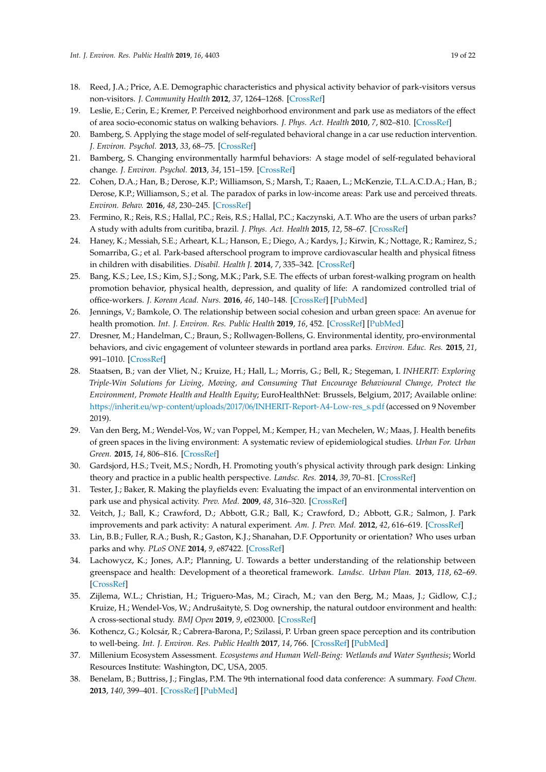- <span id="page-18-0"></span>18. Reed, J.A.; Price, A.E. Demographic characteristics and physical activity behavior of park-visitors versus non-visitors. *J. Community Health* **2012**, *37*, 1264–1268. [\[CrossRef\]](http://dx.doi.org/10.1007/s10900-012-9565-9)
- <span id="page-18-1"></span>19. Leslie, E.; Cerin, E.; Kremer, P. Perceived neighborhood environment and park use as mediators of the effect of area socio-economic status on walking behaviors. *J. Phys. Act. Health* **2010**, *7*, 802–810. [\[CrossRef\]](http://dx.doi.org/10.1123/jpah.7.6.802)
- <span id="page-18-2"></span>20. Bamberg, S. Applying the stage model of self-regulated behavioral change in a car use reduction intervention. *J. Environ. Psychol.* **2013**, *33*, 68–75. [\[CrossRef\]](http://dx.doi.org/10.1016/j.jenvp.2012.10.001)
- <span id="page-18-3"></span>21. Bamberg, S. Changing environmentally harmful behaviors: A stage model of self-regulated behavioral change. *J. Environ. Psychol.* **2013**, *34*, 151–159. [\[CrossRef\]](http://dx.doi.org/10.1016/j.jenvp.2013.01.002)
- <span id="page-18-4"></span>22. Cohen, D.A.; Han, B.; Derose, K.P.; Williamson, S.; Marsh, T.; Raaen, L.; McKenzie, T.L.A.C.D.A.; Han, B.; Derose, K.P.; Williamson, S.; et al. The paradox of parks in low-income areas: Park use and perceived threats. *Environ. Behav.* **2016**, *48*, 230–245. [\[CrossRef\]](http://dx.doi.org/10.1177/0013916515614366)
- <span id="page-18-5"></span>23. Fermino, R.; Reis, R.S.; Hallal, P.C.; Reis, R.S.; Hallal, P.C.; Kaczynski, A.T. Who are the users of urban parks? A study with adults from curitiba, brazil. *J. Phys. Act. Health* **2015**, *12*, 58–67. [\[CrossRef\]](http://dx.doi.org/10.1123/jpah.2012-0482)
- <span id="page-18-6"></span>24. Haney, K.; Messiah, S.E.; Arheart, K.L.; Hanson, E.; Diego, A.; Kardys, J.; Kirwin, K.; Nottage, R.; Ramirez, S.; Somarriba, G.; et al. Park-based afterschool program to improve cardiovascular health and physical fitness in children with disabilities. *Disabil. Health J.* **2014**, *7*, 335–342. [\[CrossRef\]](http://dx.doi.org/10.1016/j.dhjo.2014.02.006)
- <span id="page-18-7"></span>25. Bang, K.S.; Lee, I.S.; Kim, S.J.; Song, M.K.; Park, S.E. The effects of urban forest-walking program on health promotion behavior, physical health, depression, and quality of life: A randomized controlled trial of office-workers. *J. Korean Acad. Nurs.* **2016**, *46*, 140–148. [\[CrossRef\]](http://dx.doi.org/10.4040/jkan.2016.46.1.140) [\[PubMed\]](http://www.ncbi.nlm.nih.gov/pubmed/26963423)
- <span id="page-18-8"></span>26. Jennings, V.; Bamkole, O. The relationship between social cohesion and urban green space: An avenue for health promotion. *Int. J. Environ. Res. Public Health* **2019**, *16*, 452. [\[CrossRef\]](http://dx.doi.org/10.3390/ijerph16030452) [\[PubMed\]](http://www.ncbi.nlm.nih.gov/pubmed/30720732)
- <span id="page-18-9"></span>27. Dresner, M.; Handelman, C.; Braun, S.; Rollwagen-Bollens, G. Environmental identity, pro-environmental behaviors, and civic engagement of volunteer stewards in portland area parks. *Environ. Educ. Res.* **2015**, *21*, 991–1010. [\[CrossRef\]](http://dx.doi.org/10.1080/13504622.2014.964188)
- <span id="page-18-10"></span>28. Staatsen, B.; van der Vliet, N.; Kruize, H.; Hall, L.; Morris, G.; Bell, R.; Stegeman, I. *INHERIT: Exploring Triple-Win Solutions for Living, Moving, and Consuming That Encourage Behavioural Change, Protect the Environment, Promote Health and Health Equity*; EuroHealthNet: Brussels, Belgium, 2017; Available online: https://inherit.eu/wp-content/uploads/2017/06/[INHERIT-Report-A4-Low-res\\_s.pdf](https://inherit.eu/wp-content/uploads/2017/06/INHERIT-Report-A4-Low-res_s.pdf) (accessed on 9 November 2019).
- <span id="page-18-11"></span>29. Van den Berg, M.; Wendel-Vos, W.; van Poppel, M.; Kemper, H.; van Mechelen, W.; Maas, J. Health benefits of green spaces in the living environment: A systematic review of epidemiological studies. *Urban For. Urban Green.* **2015**, *14*, 806–816. [\[CrossRef\]](http://dx.doi.org/10.1016/j.ufug.2015.07.008)
- <span id="page-18-12"></span>30. Gardsjord, H.S.; Tveit, M.S.; Nordh, H. Promoting youth's physical activity through park design: Linking theory and practice in a public health perspective. *Landsc. Res.* **2014**, *39*, 70–81. [\[CrossRef\]](http://dx.doi.org/10.1080/01426397.2013.793764)
- <span id="page-18-13"></span>31. Tester, J.; Baker, R. Making the playfields even: Evaluating the impact of an environmental intervention on park use and physical activity. *Prev. Med.* **2009**, *48*, 316–320. [\[CrossRef\]](http://dx.doi.org/10.1016/j.ypmed.2009.01.010)
- <span id="page-18-14"></span>32. Veitch, J.; Ball, K.; Crawford, D.; Abbott, G.R.; Ball, K.; Crawford, D.; Abbott, G.R.; Salmon, J. Park improvements and park activity: A natural experiment. *Am. J. Prev. Med.* **2012**, *42*, 616–619. [\[CrossRef\]](http://dx.doi.org/10.1016/j.amepre.2012.02.015)
- <span id="page-18-15"></span>33. Lin, B.B.; Fuller, R.A.; Bush, R.; Gaston, K.J.; Shanahan, D.F. Opportunity or orientation? Who uses urban parks and why. *PLoS ONE* **2014**, *9*, e87422. [\[CrossRef\]](http://dx.doi.org/10.1371/journal.pone.0087422)
- <span id="page-18-16"></span>34. Lachowycz, K.; Jones, A.P.; Planning, U. Towards a better understanding of the relationship between greenspace and health: Development of a theoretical framework. *Landsc. Urban Plan.* **2013**, *118*, 62–69. [\[CrossRef\]](http://dx.doi.org/10.1016/j.landurbplan.2012.10.012)
- <span id="page-18-17"></span>35. Zijlema, W.L.; Christian, H.; Triguero-Mas, M.; Cirach, M.; van den Berg, M.; Maas, J.; Gidlow, C.J.; Kruize, H.; Wendel-Vos, W.; Andrušaityte, S. Dog ownership, the natural outdoor environment and health: ˙ A cross-sectional study. *BMJ Open* **2019**, *9*, e023000. [\[CrossRef\]](http://dx.doi.org/10.1136/bmjopen-2018-023000)
- <span id="page-18-18"></span>36. Kothencz, G.; Kolcsár, R.; Cabrera-Barona, P.; Szilassi, P. Urban green space perception and its contribution to well-being. *Int. J. Environ. Res. Public Health* **2017**, *14*, 766. [\[CrossRef\]](http://dx.doi.org/10.3390/ijerph14070766) [\[PubMed\]](http://www.ncbi.nlm.nih.gov/pubmed/28704969)
- <span id="page-18-19"></span>37. Millenium Ecosystem Assessment. *Ecosystems and Human Well-Being: Wetlands and Water Synthesis*; World Resources Institute: Washington, DC, USA, 2005.
- <span id="page-18-20"></span>38. Benelam, B.; Buttriss, J.; Finglas, P.M. The 9th international food data conference: A summary. *Food Chem.* **2013**, *140*, 399–401. [\[CrossRef\]](http://dx.doi.org/10.1016/j.foodchem.2012.11.123) [\[PubMed\]](http://www.ncbi.nlm.nih.gov/pubmed/23601381)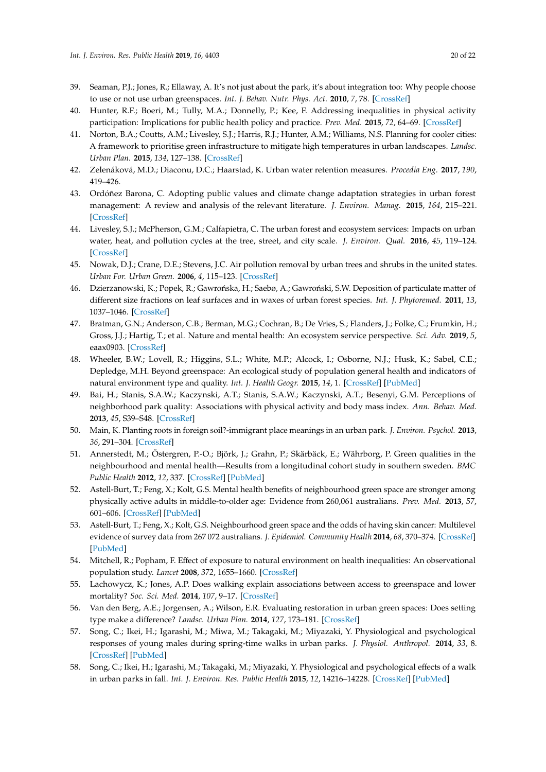- <span id="page-19-0"></span>39. Seaman, P.J.; Jones, R.; Ellaway, A. It's not just about the park, it's about integration too: Why people choose to use or not use urban greenspaces. *Int. J. Behav. Nutr. Phys. Act.* **2010**, *7*, 78. [\[CrossRef\]](http://dx.doi.org/10.1186/1479-5868-7-78)
- <span id="page-19-1"></span>40. Hunter, R.F.; Boeri, M.; Tully, M.A.; Donnelly, P.; Kee, F. Addressing inequalities in physical activity participation: Implications for public health policy and practice. *Prev. Med.* **2015**, *72*, 64–69. [\[CrossRef\]](http://dx.doi.org/10.1016/j.ypmed.2014.12.040)
- <span id="page-19-2"></span>41. Norton, B.A.; Coutts, A.M.; Livesley, S.J.; Harris, R.J.; Hunter, A.M.; Williams, N.S. Planning for cooler cities: A framework to prioritise green infrastructure to mitigate high temperatures in urban landscapes. *Landsc. Urban Plan.* **2015**, *134*, 127–138. [\[CrossRef\]](http://dx.doi.org/10.1016/j.landurbplan.2014.10.018)
- <span id="page-19-3"></span>42. Zelenáková, M.D.; Diaconu, D.C.; Haarstad, K. Urban water retention measures. *Procedia Eng.* **2017**, *190*, 419–426.
- <span id="page-19-4"></span>43. Ordóñez Barona, C. Adopting public values and climate change adaptation strategies in urban forest management: A review and analysis of the relevant literature. *J. Environ. Manag.* **2015**, *164*, 215–221. [\[CrossRef\]](http://dx.doi.org/10.1016/j.jenvman.2015.09.004)
- <span id="page-19-5"></span>44. Livesley, S.J.; McPherson, G.M.; Calfapietra, C. The urban forest and ecosystem services: Impacts on urban water, heat, and pollution cycles at the tree, street, and city scale. *J. Environ. Qual.* **2016**, *45*, 119–124. [\[CrossRef\]](http://dx.doi.org/10.2134/jeq2015.11.0567)
- <span id="page-19-6"></span>45. Nowak, D.J.; Crane, D.E.; Stevens, J.C. Air pollution removal by urban trees and shrubs in the united states. *Urban For. Urban Green.* **2006**, *4*, 115–123. [\[CrossRef\]](http://dx.doi.org/10.1016/j.ufug.2006.01.007)
- <span id="page-19-7"></span>46. Dzierzanowski, K.; Popek, R.; Gawrońska, H.; Saebø, A.; Gawroński, S.W. Deposition of particulate matter of different size fractions on leaf surfaces and in waxes of urban forest species. *Int. J. Phytoremed.* **2011**, *13*, 1037–1046. [\[CrossRef\]](http://dx.doi.org/10.1080/15226514.2011.552929)
- <span id="page-19-8"></span>47. Bratman, G.N.; Anderson, C.B.; Berman, M.G.; Cochran, B.; De Vries, S.; Flanders, J.; Folke, C.; Frumkin, H.; Gross, J.J.; Hartig, T.; et al. Nature and mental health: An ecosystem service perspective. *Sci. Adv.* **2019**, *5*, eaax0903. [\[CrossRef\]](http://dx.doi.org/10.1126/sciadv.aax0903)
- <span id="page-19-9"></span>48. Wheeler, B.W.; Lovell, R.; Higgins, S.L.; White, M.P.; Alcock, I.; Osborne, N.J.; Husk, K.; Sabel, C.E.; Depledge, M.H. Beyond greenspace: An ecological study of population general health and indicators of natural environment type and quality. *Int. J. Health Geogr.* **2015**, *14*, 1. [\[CrossRef\]](http://dx.doi.org/10.1186/s12942-015-0009-5) [\[PubMed\]](http://www.ncbi.nlm.nih.gov/pubmed/25924685)
- <span id="page-19-10"></span>49. Bai, H.; Stanis, S.A.W.; Kaczynski, A.T.; Stanis, S.A.W.; Kaczynski, A.T.; Besenyi, G.M. Perceptions of neighborhood park quality: Associations with physical activity and body mass index. *Ann. Behav. Med.* **2013**, *45*, S39–S48. [\[CrossRef\]](http://dx.doi.org/10.1007/s12160-012-9448-4)
- <span id="page-19-11"></span>50. Main, K. Planting roots in foreign soil?-immigrant place meanings in an urban park. *J. Environ. Psychol.* **2013**, *36*, 291–304. [\[CrossRef\]](http://dx.doi.org/10.1016/j.jenvp.2013.08.003)
- 51. Annerstedt, M.; Östergren, P.-O.; Björk, J.; Grahn, P.; Skärbäck, E.; Währborg, P. Green qualities in the neighbourhood and mental health—Results from a longitudinal cohort study in southern sweden. *BMC Public Health* **2012**, *12*, 337. [\[CrossRef\]](http://dx.doi.org/10.1186/1471-2458-12-337) [\[PubMed\]](http://www.ncbi.nlm.nih.gov/pubmed/22568888)
- <span id="page-19-16"></span>52. Astell-Burt, T.; Feng, X.; Kolt, G.S. Mental health benefits of neighbourhood green space are stronger among physically active adults in middle-to-older age: Evidence from 260,061 australians. *Prev. Med.* **2013**, *57*, 601–606. [\[CrossRef\]](http://dx.doi.org/10.1016/j.ypmed.2013.08.017) [\[PubMed\]](http://www.ncbi.nlm.nih.gov/pubmed/23994648)
- 53. Astell-Burt, T.; Feng, X.; Kolt, G.S. Neighbourhood green space and the odds of having skin cancer: Multilevel evidence of survey data from 267 072 australians. *J. Epidemiol. Community Health* **2014**, *68*, 370–374. [\[CrossRef\]](http://dx.doi.org/10.1136/jech-2013-203043) [\[PubMed\]](http://www.ncbi.nlm.nih.gov/pubmed/24376218)
- <span id="page-19-12"></span>54. Mitchell, R.; Popham, F. Effect of exposure to natural environment on health inequalities: An observational population study. *Lancet* **2008**, *372*, 1655–1660. [\[CrossRef\]](http://dx.doi.org/10.1016/S0140-6736(08)61689-X)
- <span id="page-19-13"></span>55. Lachowycz, K.; Jones, A.P. Does walking explain associations between access to greenspace and lower mortality? *Soc. Sci. Med.* **2014**, *107*, 9–17. [\[CrossRef\]](http://dx.doi.org/10.1016/j.socscimed.2014.02.023)
- <span id="page-19-14"></span>56. Van den Berg, A.E.; Jorgensen, A.; Wilson, E.R. Evaluating restoration in urban green spaces: Does setting type make a difference? *Landsc. Urban Plan.* **2014**, *127*, 173–181. [\[CrossRef\]](http://dx.doi.org/10.1016/j.landurbplan.2014.04.012)
- <span id="page-19-15"></span>57. Song, C.; Ikei, H.; Igarashi, M.; Miwa, M.; Takagaki, M.; Miyazaki, Y. Physiological and psychological responses of young males during spring-time walks in urban parks. *J. Physiol. Anthropol.* **2014**, *33*, 8. [\[CrossRef\]](http://dx.doi.org/10.1186/1880-6805-33-8) [\[PubMed\]](http://www.ncbi.nlm.nih.gov/pubmed/24887352)
- 58. Song, C.; Ikei, H.; Igarashi, M.; Takagaki, M.; Miyazaki, Y. Physiological and psychological effects of a walk in urban parks in fall. *Int. J. Environ. Res. Public Health* **2015**, *12*, 14216–14228. [\[CrossRef\]](http://dx.doi.org/10.3390/ijerph121114216) [\[PubMed\]](http://www.ncbi.nlm.nih.gov/pubmed/26569271)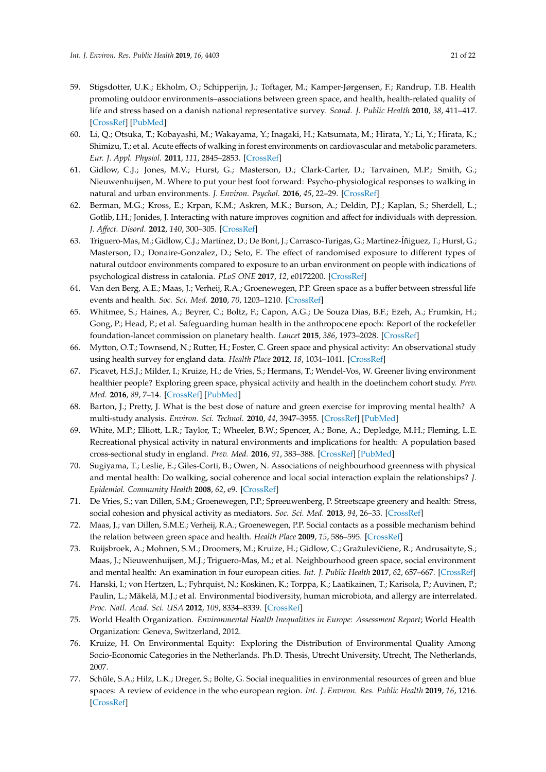- <span id="page-20-0"></span>59. Stigsdotter, U.K.; Ekholm, O.; Schipperijn, J.; Toftager, M.; Kamper-Jørgensen, F.; Randrup, T.B. Health promoting outdoor environments–associations between green space, and health, health-related quality of life and stress based on a danish national representative survey. *Scand. J. Public Health* **2010**, *38*, 411–417. [\[CrossRef\]](http://dx.doi.org/10.1177/1403494810367468) [\[PubMed\]](http://www.ncbi.nlm.nih.gov/pubmed/20413584)
- <span id="page-20-1"></span>60. Li, Q.; Otsuka, T.; Kobayashi, M.; Wakayama, Y.; Inagaki, H.; Katsumata, M.; Hirata, Y.; Li, Y.; Hirata, K.; Shimizu, T.; et al. Acute effects of walking in forest environments on cardiovascular and metabolic parameters. *Eur. J. Appl. Physiol.* **2011**, *111*, 2845–2853. [\[CrossRef\]](http://dx.doi.org/10.1007/s00421-011-1918-z)
- <span id="page-20-2"></span>61. Gidlow, C.J.; Jones, M.V.; Hurst, G.; Masterson, D.; Clark-Carter, D.; Tarvainen, M.P.; Smith, G.; Nieuwenhuijsen, M. Where to put your best foot forward: Psycho-physiological responses to walking in natural and urban environments. *J. Environ. Psychol.* **2016**, *45*, 22–29. [\[CrossRef\]](http://dx.doi.org/10.1016/j.jenvp.2015.11.003)
- <span id="page-20-3"></span>62. Berman, M.G.; Kross, E.; Krpan, K.M.; Askren, M.K.; Burson, A.; Deldin, P.J.; Kaplan, S.; Sherdell, L.; Gotlib, I.H.; Jonides, J. Interacting with nature improves cognition and affect for individuals with depression. *J. A*ff*ect. Disord.* **2012**, *140*, 300–305. [\[CrossRef\]](http://dx.doi.org/10.1016/j.jad.2012.03.012)
- <span id="page-20-4"></span>63. Triguero-Mas, M.; Gidlow, C.J.; Martínez, D.; De Bont, J.; Carrasco-Turigas, G.; Martínez-Íñiguez, T.; Hurst, G.; Masterson, D.; Donaire-Gonzalez, D.; Seto, E. The effect of randomised exposure to different types of natural outdoor environments compared to exposure to an urban environment on people with indications of psychological distress in catalonia. *PLoS ONE* **2017**, *12*, e0172200. [\[CrossRef\]](http://dx.doi.org/10.1371/journal.pone.0172200)
- <span id="page-20-5"></span>64. Van den Berg, A.E.; Maas, J.; Verheij, R.A.; Groenewegen, P.P. Green space as a buffer between stressful life events and health. *Soc. Sci. Med.* **2010**, *70*, 1203–1210. [\[CrossRef\]](http://dx.doi.org/10.1016/j.socscimed.2010.01.002)
- <span id="page-20-6"></span>65. Whitmee, S.; Haines, A.; Beyrer, C.; Boltz, F.; Capon, A.G.; De Souza Dias, B.F.; Ezeh, A.; Frumkin, H.; Gong, P.; Head, P.; et al. Safeguarding human health in the anthropocene epoch: Report of the rockefeller foundation-lancet commission on planetary health. *Lancet* **2015**, *386*, 1973–2028. [\[CrossRef\]](http://dx.doi.org/10.1016/S0140-6736(15)60901-1)
- <span id="page-20-7"></span>66. Mytton, O.T.; Townsend, N.; Rutter, H.; Foster, C. Green space and physical activity: An observational study using health survey for england data. *Health Place* **2012**, *18*, 1034–1041. [\[CrossRef\]](http://dx.doi.org/10.1016/j.healthplace.2012.06.003)
- <span id="page-20-8"></span>67. Picavet, H.S.J.; Milder, I.; Kruize, H.; de Vries, S.; Hermans, T.; Wendel-Vos, W. Greener living environment healthier people? Exploring green space, physical activity and health in the doetinchem cohort study. *Prev. Med.* **2016**, *89*, 7–14. [\[CrossRef\]](http://dx.doi.org/10.1016/j.ypmed.2016.04.021) [\[PubMed\]](http://www.ncbi.nlm.nih.gov/pubmed/27154351)
- <span id="page-20-9"></span>68. Barton, J.; Pretty, J. What is the best dose of nature and green exercise for improving mental health? A multi-study analysis. *Environ. Sci. Technol.* **2010**, *44*, 3947–3955. [\[CrossRef\]](http://dx.doi.org/10.1021/es903183r) [\[PubMed\]](http://www.ncbi.nlm.nih.gov/pubmed/20337470)
- <span id="page-20-10"></span>69. White, M.P.; Elliott, L.R.; Taylor, T.; Wheeler, B.W.; Spencer, A.; Bone, A.; Depledge, M.H.; Fleming, L.E. Recreational physical activity in natural environments and implications for health: A population based cross-sectional study in england. *Prev. Med.* **2016**, *91*, 383–388. [\[CrossRef\]](http://dx.doi.org/10.1016/j.ypmed.2016.08.023) [\[PubMed\]](http://www.ncbi.nlm.nih.gov/pubmed/27658650)
- <span id="page-20-11"></span>70. Sugiyama, T.; Leslie, E.; Giles-Corti, B.; Owen, N. Associations of neighbourhood greenness with physical and mental health: Do walking, social coherence and local social interaction explain the relationships? *J. Epidemiol. Community Health* **2008**, *62*, e9. [\[CrossRef\]](http://dx.doi.org/10.1136/jech.2007.064287)
- <span id="page-20-12"></span>71. De Vries, S.; van Dillen, S.M.; Groenewegen, P.P.; Spreeuwenberg, P. Streetscape greenery and health: Stress, social cohesion and physical activity as mediators. *Soc. Sci. Med.* **2013**, *94*, 26–33. [\[CrossRef\]](http://dx.doi.org/10.1016/j.socscimed.2013.06.030)
- <span id="page-20-13"></span>72. Maas, J.; van Dillen, S.M.E.; Verheij, R.A.; Groenewegen, P.P. Social contacts as a possible mechanism behind the relation between green space and health. *Health Place* **2009**, *15*, 586–595. [\[CrossRef\]](http://dx.doi.org/10.1016/j.healthplace.2008.09.006)
- <span id="page-20-14"></span>73. Ruijsbroek, A.; Mohnen, S.M.; Droomers, M.; Kruize, H.; Gidlow, C.; Gražulevičiene, R.; Andrusaityte, S.; Maas, J.; Nieuwenhuijsen, M.J.; Triguero-Mas, M.; et al. Neighbourhood green space, social environment and mental health: An examination in four european cities. *Int. J. Public Health* **2017**, *62*, 657–667. [\[CrossRef\]](http://dx.doi.org/10.1007/s00038-017-0963-8)
- <span id="page-20-15"></span>74. Hanski, I.; von Hertzen, L.; Fyhrquist, N.; Koskinen, K.; Torppa, K.; Laatikainen, T.; Karisola, P.; Auvinen, P.; Paulin, L.; Mäkelä, M.J.; et al. Environmental biodiversity, human microbiota, and allergy are interrelated. *Proc. Natl. Acad. Sci. USA* **2012**, *109*, 8334–8339. [\[CrossRef\]](http://dx.doi.org/10.1073/pnas.1205624109)
- <span id="page-20-16"></span>75. World Health Organization. *Environmental Health Inequalities in Europe: Assessment Report*; World Health Organization: Geneva, Switzerland, 2012.
- <span id="page-20-17"></span>76. Kruize, H. On Environmental Equity: Exploring the Distribution of Environmental Quality Among Socio-Economic Categories in the Netherlands. Ph.D. Thesis, Utrecht University, Utrecht, The Netherlands, 2007.
- <span id="page-20-18"></span>77. Schüle, S.A.; Hilz, L.K.; Dreger, S.; Bolte, G. Social inequalities in environmental resources of green and blue spaces: A review of evidence in the who european region. *Int. J. Environ. Res. Public Health* **2019**, *16*, 1216. [\[CrossRef\]](http://dx.doi.org/10.3390/ijerph16071216)